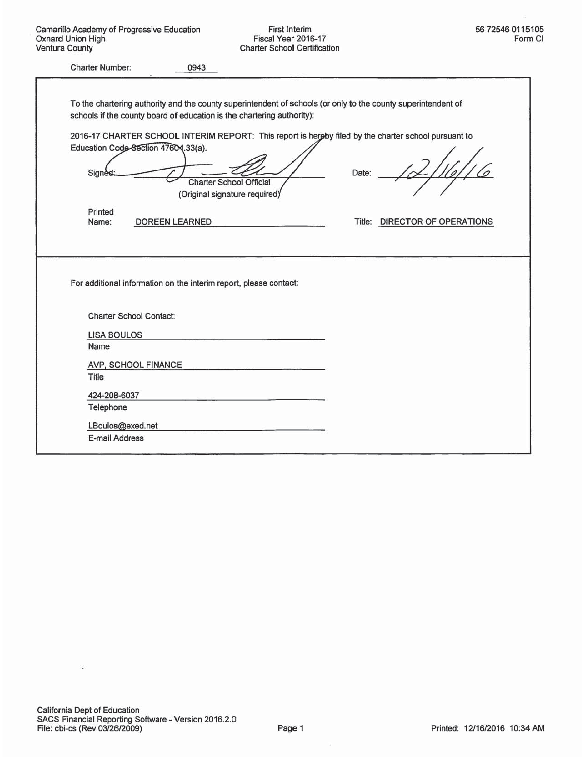First Interim Fiscal Year 2016-17 **Charter School Certification** 

| <b>Charter Number:</b>                        | 0943                                                                                                                                                                                    |                               |
|-----------------------------------------------|-----------------------------------------------------------------------------------------------------------------------------------------------------------------------------------------|-------------------------------|
|                                               |                                                                                                                                                                                         |                               |
|                                               | To the chartering authority and the county superintendent of schools (or only to the county superintendent of<br>schools if the county board of education is the chartering authority): |                               |
| Education Code-Section 47604.33(a).<br>Signed | 2016-17 CHARTER SCHOOL INTERIM REPORT: This report is hereby filed by the charter school pursuant to<br><b>Charter School Official</b><br>(Original signature required)                 | Date:                         |
| Printed<br>Name:                              | <b>DOREEN LEARNED</b>                                                                                                                                                                   | Title: DIRECTOR OF OPERATIONS |
|                                               | For additional information on the interim report, please contact:                                                                                                                       |                               |
|                                               |                                                                                                                                                                                         |                               |
| <b>Charter School Contact:</b>                |                                                                                                                                                                                         |                               |
| <b>LISA BOULOS</b>                            |                                                                                                                                                                                         |                               |
| Name                                          |                                                                                                                                                                                         |                               |
| AVP, SCHOOL FINANCE                           |                                                                                                                                                                                         |                               |
| Title                                         |                                                                                                                                                                                         |                               |
| 424-208-6037                                  |                                                                                                                                                                                         |                               |
| Telephone<br>LBoulos@exed.net                 |                                                                                                                                                                                         |                               |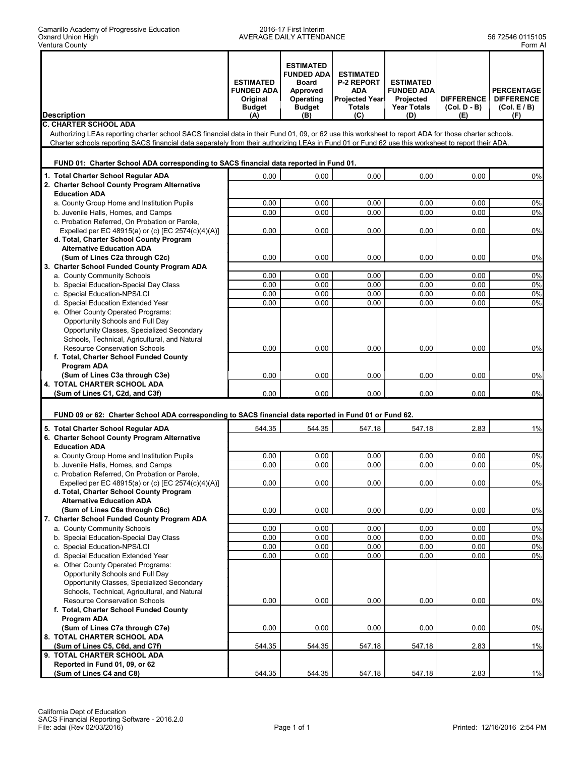#### 2016-17 First Interim AVERAGE DAILY ATTENDANCE 56 72546 0115105

| <b>Description</b>                                                                                                                                    | <b>ESTIMATED</b><br><b>FUNDED ADA</b><br>Original<br><b>Budget</b><br>(A) | <b>ESTIMATED</b><br><b>FUNDED ADA</b><br><b>Board</b><br>Approved<br>Operating<br><b>Budget</b><br>(B) | <b>ESTIMATED</b><br><b>P-2 REPORT</b><br>ADA<br><b>Projected Year</b><br><b>Totals</b><br>(C) | <b>ESTIMATED</b><br><b>FUNDED ADA</b><br>Projected<br><b>Year Totals</b><br>(D) | <b>DIFFERENCE</b><br>$(Col. D - B)$<br>(E) | <b>PERCENTAGE</b><br><b>DIFFERENCE</b><br>(Col. E/B)<br>(F) |
|-------------------------------------------------------------------------------------------------------------------------------------------------------|---------------------------------------------------------------------------|--------------------------------------------------------------------------------------------------------|-----------------------------------------------------------------------------------------------|---------------------------------------------------------------------------------|--------------------------------------------|-------------------------------------------------------------|
| <b>C. CHARTER SCHOOL ADA</b>                                                                                                                          |                                                                           |                                                                                                        |                                                                                               |                                                                                 |                                            |                                                             |
| Authorizing LEAs reporting charter school SACS financial data in their Fund 01, 09, or 62 use this worksheet to report ADA for those charter schools. |                                                                           |                                                                                                        |                                                                                               |                                                                                 |                                            |                                                             |
| Charter schools reporting SACS financial data separately from their authorizing LEAs in Fund 01 or Fund 62 use this worksheet to report their ADA.    |                                                                           |                                                                                                        |                                                                                               |                                                                                 |                                            |                                                             |
|                                                                                                                                                       |                                                                           |                                                                                                        |                                                                                               |                                                                                 |                                            |                                                             |
|                                                                                                                                                       |                                                                           |                                                                                                        |                                                                                               |                                                                                 |                                            |                                                             |
| FUND 01: Charter School ADA corresponding to SACS financial data reported in Fund 01.                                                                 |                                                                           |                                                                                                        |                                                                                               |                                                                                 |                                            |                                                             |
| 1. Total Charter School Regular ADA                                                                                                                   | 0.00                                                                      | 0.00                                                                                                   | 0.00                                                                                          | 0.00                                                                            | 0.00                                       | 0%                                                          |
| 2. Charter School County Program Alternative                                                                                                          |                                                                           |                                                                                                        |                                                                                               |                                                                                 |                                            |                                                             |
| <b>Education ADA</b>                                                                                                                                  |                                                                           |                                                                                                        |                                                                                               |                                                                                 |                                            |                                                             |
|                                                                                                                                                       |                                                                           |                                                                                                        |                                                                                               |                                                                                 |                                            |                                                             |
| a. County Group Home and Institution Pupils                                                                                                           | 0.00                                                                      | 0.00                                                                                                   | 0.00                                                                                          | 0.00                                                                            | 0.00                                       | 0%                                                          |
| b. Juvenile Halls, Homes, and Camps                                                                                                                   | 0.00                                                                      | 0.00                                                                                                   | 0.00                                                                                          | 0.00                                                                            | 0.00                                       | 0%                                                          |
| c. Probation Referred, On Probation or Parole,                                                                                                        |                                                                           |                                                                                                        |                                                                                               |                                                                                 |                                            |                                                             |
| Expelled per EC 48915(a) or (c) [EC 2574(c)(4)(A)]                                                                                                    | 0.00                                                                      | 0.00                                                                                                   | 0.00                                                                                          | 0.00                                                                            | 0.00                                       | 0%                                                          |
| d. Total, Charter School County Program                                                                                                               |                                                                           |                                                                                                        |                                                                                               |                                                                                 |                                            |                                                             |
| <b>Alternative Education ADA</b>                                                                                                                      |                                                                           |                                                                                                        |                                                                                               |                                                                                 |                                            |                                                             |
| (Sum of Lines C2a through C2c)                                                                                                                        | 0.00                                                                      | 0.00                                                                                                   | 0.00                                                                                          | 0.00                                                                            | 0.00                                       | 0%                                                          |
| 3. Charter School Funded County Program ADA                                                                                                           |                                                                           |                                                                                                        |                                                                                               |                                                                                 |                                            |                                                             |
| a. County Community Schools                                                                                                                           | 0.00                                                                      | 0.00                                                                                                   | 0.00                                                                                          | 0.00                                                                            | 0.00                                       | 0%                                                          |
| b. Special Education-Special Day Class                                                                                                                | 0.00                                                                      | 0.00                                                                                                   | 0.00                                                                                          | 0.00                                                                            | 0.00                                       | 0%                                                          |
|                                                                                                                                                       |                                                                           |                                                                                                        |                                                                                               | 0.00                                                                            | 0.00                                       | 0%                                                          |
| c. Special Education-NPS/LCI                                                                                                                          | 0.00                                                                      | 0.00                                                                                                   | 0.00                                                                                          |                                                                                 |                                            |                                                             |
| d. Special Education Extended Year                                                                                                                    | 0.00                                                                      | 0.00                                                                                                   | 0.00                                                                                          | 0.00                                                                            | 0.00                                       | 0%                                                          |
| e. Other County Operated Programs:                                                                                                                    |                                                                           |                                                                                                        |                                                                                               |                                                                                 |                                            |                                                             |
| Opportunity Schools and Full Day                                                                                                                      |                                                                           |                                                                                                        |                                                                                               |                                                                                 |                                            |                                                             |
| Opportunity Classes, Specialized Secondary                                                                                                            |                                                                           |                                                                                                        |                                                                                               |                                                                                 |                                            |                                                             |
| Schools, Technical, Agricultural, and Natural                                                                                                         |                                                                           |                                                                                                        |                                                                                               |                                                                                 |                                            |                                                             |
| <b>Resource Conservation Schools</b>                                                                                                                  | 0.00                                                                      | 0.00                                                                                                   | 0.00                                                                                          | 0.00                                                                            | 0.00                                       | 0%                                                          |
| f. Total, Charter School Funded County                                                                                                                |                                                                           |                                                                                                        |                                                                                               |                                                                                 |                                            |                                                             |
| Program ADA                                                                                                                                           |                                                                           |                                                                                                        |                                                                                               |                                                                                 |                                            |                                                             |
| (Sum of Lines C3a through C3e)                                                                                                                        | 0.00                                                                      | 0.00                                                                                                   | 0.00                                                                                          | 0.00                                                                            | 0.00                                       | 0%                                                          |
| 4. TOTAL CHARTER SCHOOL ADA                                                                                                                           |                                                                           |                                                                                                        |                                                                                               |                                                                                 |                                            |                                                             |
|                                                                                                                                                       |                                                                           |                                                                                                        |                                                                                               |                                                                                 |                                            |                                                             |
| (Sum of Lines C1, C2d, and C3f)                                                                                                                       | 0.00                                                                      | 0.00                                                                                                   | 0.00                                                                                          | 0.00                                                                            | 0.00                                       | 0%                                                          |
|                                                                                                                                                       |                                                                           |                                                                                                        |                                                                                               |                                                                                 |                                            |                                                             |
| FUND 09 or 62: Charter School ADA corresponding to SACS financial data reported in Fund 01 or Fund 62.                                                |                                                                           |                                                                                                        |                                                                                               |                                                                                 |                                            |                                                             |
|                                                                                                                                                       |                                                                           |                                                                                                        |                                                                                               |                                                                                 |                                            |                                                             |
| 5. Total Charter School Regular ADA                                                                                                                   | 544.35                                                                    | 544.35                                                                                                 | 547.18                                                                                        | 547.18                                                                          | 2.83                                       | 1%                                                          |
| 6. Charter School County Program Alternative                                                                                                          |                                                                           |                                                                                                        |                                                                                               |                                                                                 |                                            |                                                             |
| <b>Education ADA</b>                                                                                                                                  |                                                                           |                                                                                                        |                                                                                               |                                                                                 |                                            |                                                             |
| a. County Group Home and Institution Pupils                                                                                                           | 0.00                                                                      | 0.00                                                                                                   | 0.00                                                                                          | 0.00                                                                            | 0.00                                       | 0%                                                          |
| b. Juvenile Halls, Homes, and Camps                                                                                                                   | 0.00                                                                      | 0.00                                                                                                   | 0.00                                                                                          | 0.00                                                                            | 0.00                                       | 0%                                                          |
| c. Probation Referred, On Probation or Parole,                                                                                                        |                                                                           |                                                                                                        |                                                                                               |                                                                                 |                                            |                                                             |
| Expelled per EC 48915(a) or (c) [EC 2574(c)(4)(A)]                                                                                                    | 0.00                                                                      | 0.00                                                                                                   | 0.00                                                                                          | 0.00                                                                            | 0.00                                       | $0\%$                                                       |
| d. Total, Charter School County Program                                                                                                               |                                                                           |                                                                                                        |                                                                                               |                                                                                 |                                            |                                                             |
| <b>Alternative Education ADA</b>                                                                                                                      |                                                                           |                                                                                                        |                                                                                               |                                                                                 |                                            |                                                             |
| (Sum of Lines C6a through C6c)                                                                                                                        | 0.00                                                                      | 0.00                                                                                                   | 0.00                                                                                          | 0.00                                                                            | 0.00                                       | 0%                                                          |
| 7. Charter School Funded County Program ADA                                                                                                           |                                                                           |                                                                                                        |                                                                                               |                                                                                 |                                            |                                                             |
|                                                                                                                                                       |                                                                           |                                                                                                        |                                                                                               |                                                                                 |                                            |                                                             |
| a. County Community Schools                                                                                                                           | 0.00                                                                      | 0.00                                                                                                   | 0.00                                                                                          | 0.00                                                                            | 0.00                                       | 0%                                                          |
| b. Special Education-Special Day Class                                                                                                                | 0.00                                                                      | 0.00                                                                                                   | 0.00                                                                                          | 0.00                                                                            | 0.00                                       | 0%                                                          |
| c. Special Education-NPS/LCI                                                                                                                          | 0.00                                                                      | 0.00                                                                                                   | 0.00                                                                                          | 0.00                                                                            | 0.00                                       | 0%                                                          |
| d. Special Education Extended Year                                                                                                                    | 0.00                                                                      | 0.00                                                                                                   | 0.00                                                                                          | 0.00                                                                            | 0.00                                       | 0%                                                          |
| e. Other County Operated Programs:                                                                                                                    |                                                                           |                                                                                                        |                                                                                               |                                                                                 |                                            |                                                             |
| Opportunity Schools and Full Day                                                                                                                      |                                                                           |                                                                                                        |                                                                                               |                                                                                 |                                            |                                                             |
| Opportunity Classes, Specialized Secondary                                                                                                            |                                                                           |                                                                                                        |                                                                                               |                                                                                 |                                            |                                                             |
| Schools, Technical, Agricultural, and Natural                                                                                                         |                                                                           |                                                                                                        |                                                                                               |                                                                                 |                                            |                                                             |
| <b>Resource Conservation Schools</b>                                                                                                                  | 0.00                                                                      | 0.00                                                                                                   | 0.00                                                                                          | 0.00                                                                            | 0.00                                       | 0%                                                          |
| f. Total, Charter School Funded County                                                                                                                |                                                                           |                                                                                                        |                                                                                               |                                                                                 |                                            |                                                             |
| Program ADA                                                                                                                                           |                                                                           |                                                                                                        |                                                                                               |                                                                                 |                                            |                                                             |
| (Sum of Lines C7a through C7e)                                                                                                                        |                                                                           |                                                                                                        |                                                                                               |                                                                                 |                                            |                                                             |
|                                                                                                                                                       | 0.00                                                                      | 0.00                                                                                                   | 0.00                                                                                          | 0.00                                                                            | 0.00                                       | 0%                                                          |
| 8. TOTAL CHARTER SCHOOL ADA                                                                                                                           |                                                                           |                                                                                                        |                                                                                               |                                                                                 |                                            |                                                             |
| (Sum of Lines C5, C6d, and C7f)                                                                                                                       | 544.35                                                                    | 544.35                                                                                                 | 547.18                                                                                        | 547.18                                                                          | 2.83                                       | 1%                                                          |
| 9. TOTAL CHARTER SCHOOL ADA                                                                                                                           |                                                                           |                                                                                                        |                                                                                               |                                                                                 |                                            |                                                             |
| Reported in Fund 01, 09, or 62                                                                                                                        |                                                                           |                                                                                                        |                                                                                               |                                                                                 |                                            |                                                             |
| (Sum of Lines C4 and C8)                                                                                                                              | 544.35                                                                    | 544.35                                                                                                 | 547.18                                                                                        | 547.18                                                                          | 2.83                                       | 1%                                                          |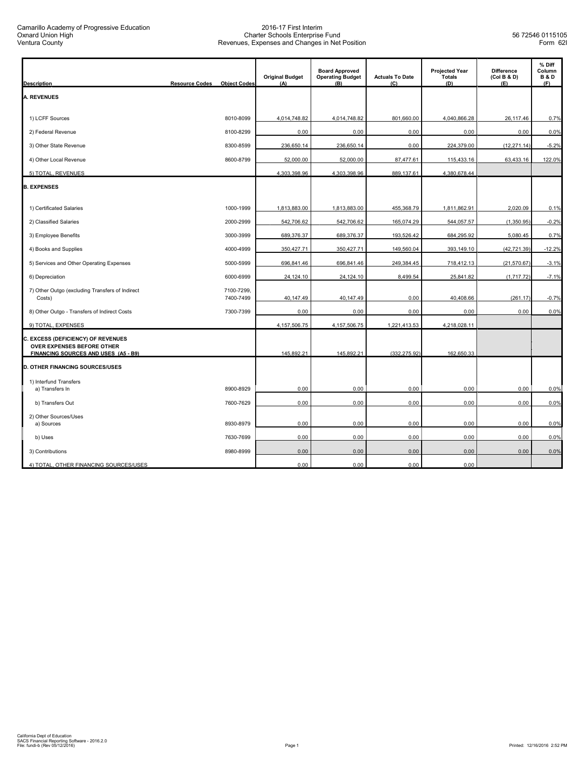| <b>Description</b>                                                                                       | <b>Resource Codes</b><br><b>Object Codes</b> | <b>Original Budget</b><br>(A) | <b>Board Approved</b><br><b>Operating Budget</b><br>(B) | <b>Actuals To Date</b><br>(C) | <b>Projected Year</b><br><b>Totals</b><br>(D) | <b>Difference</b><br>(Col B & D)<br>(E) | % Diff<br>Column<br><b>B&amp;D</b><br>(F) |
|----------------------------------------------------------------------------------------------------------|----------------------------------------------|-------------------------------|---------------------------------------------------------|-------------------------------|-----------------------------------------------|-----------------------------------------|-------------------------------------------|
| <b>A. REVENUES</b>                                                                                       |                                              |                               |                                                         |                               |                                               |                                         |                                           |
| 1) LCFF Sources                                                                                          | 8010-8099                                    | 4,014,748.82                  | 4,014,748.82                                            | 801,660.00                    | 4,040,866.28                                  | 26,117.46                               | 0.7%                                      |
| 2) Federal Revenue                                                                                       | 8100-8299                                    | 0.00                          | 0.00                                                    | 0.00                          | 0.00                                          | 0.00                                    | 0.0%                                      |
| 3) Other State Revenue                                                                                   | 8300-8599                                    | 236,650.14                    | 236,650.14                                              | 0.00                          | 224,379.00                                    | (12, 271.14)                            | $-5.2%$                                   |
| 4) Other Local Revenue                                                                                   | 8600-8799                                    | 52,000.00                     | 52,000.00                                               | 87,477.61                     | 115,433.16                                    | 63,433.16                               | 122.0%                                    |
| 5) TOTAL, REVENUES                                                                                       |                                              | 4,303,398.96                  | 4,303,398.96                                            | 889,137.61                    | 4,380,678.44                                  |                                         |                                           |
| <b>B. EXPENSES</b>                                                                                       |                                              |                               |                                                         |                               |                                               |                                         |                                           |
| 1) Certificated Salaries                                                                                 | 1000-1999                                    | 1,813,883.00                  | 1,813,883.00                                            | 455,368.79                    | 1,811,862.91                                  | 2,020.09                                | 0.1%                                      |
| 2) Classified Salaries                                                                                   | 2000-2999                                    | 542,706.62                    | 542,706.62                                              | 165,074.29                    | 544,057.57                                    | (1,350.95)                              | $-0.2%$                                   |
| 3) Employee Benefits                                                                                     | 3000-3999                                    | 689,376.37                    | 689,376.37                                              | 193,526.42                    | 684,295.92                                    | 5,080.45                                | 0.7%                                      |
| 4) Books and Supplies                                                                                    | 4000-4999                                    | 350,427.71                    | 350,427.71                                              | 149,560.04                    | 393,149.10                                    | (42, 721.39)                            | $-12.2%$                                  |
| 5) Services and Other Operating Expenses                                                                 | 5000-5999                                    | 696,841.46                    | 696,841.46                                              | 249,384.45                    | 718,412.13                                    | (21, 570.67)                            | $-3.1%$                                   |
| 6) Depreciation                                                                                          | 6000-6999                                    | 24, 124. 10                   | 24,124.10                                               | 8,499.54                      | 25,841.82                                     | (1,717.72)                              | $-7.1%$                                   |
| 7) Other Outgo (excluding Transfers of Indirect<br>Costs)                                                | 7100-7299,<br>7400-7499                      | 40,147.49                     | 40,147.49                                               | 0.00                          | 40,408.66                                     | (261.17)                                | $-0.7%$                                   |
| 8) Other Outgo - Transfers of Indirect Costs                                                             | 7300-7399                                    | 0.00                          | 0.00                                                    | 0.00                          | 0.00                                          | 0.00                                    | 0.0%                                      |
| 9) TOTAL, EXPENSES                                                                                       |                                              | 4,157,506.75                  | 4,157,506.75                                            | 1,221,413.53                  | 4,218,028.11                                  |                                         |                                           |
| C. EXCESS (DEFICIENCY) OF REVENUES<br>OVER EXPENSES BEFORE OTHER<br>FINANCING SOURCES AND USES (A5 - B9) |                                              | 145.892.21                    | 145.892.21                                              | (332.275.92)                  | 162.650.33                                    |                                         |                                           |
| D. OTHER FINANCING SOURCES/USES                                                                          |                                              |                               |                                                         |                               |                                               |                                         |                                           |
| 1) Interfund Transfers<br>a) Transfers In                                                                | 8900-8929                                    | 0.00                          | 0.00                                                    | 0.00                          | 0.00                                          | 0.00                                    | 0.0%                                      |
| b) Transfers Out                                                                                         | 7600-7629                                    | 0.00                          | 0.00                                                    | 0.00                          | 0.00                                          | 0.00                                    | 0.0%                                      |
| 2) Other Sources/Uses                                                                                    |                                              |                               |                                                         |                               |                                               |                                         |                                           |
| a) Sources                                                                                               | 8930-8979                                    | 0.00                          | 0.00                                                    | 0.00                          | 0.00                                          | 0.00                                    | 0.0%                                      |
| b) Uses                                                                                                  | 7630-7699                                    | 0.00                          | 0.00                                                    | 0.00                          | 0.00                                          | 0.00                                    | 0.0%                                      |
| 3) Contributions                                                                                         | 8980-8999                                    | 0.00                          | 0.00                                                    | 0.00                          | 0.00                                          | 0.00                                    | 0.0%                                      |
| 4) TOTAL, OTHER FINANCING SOURCES/USES                                                                   |                                              | 0.00                          | 0.00                                                    | 0.00                          | 0.00                                          |                                         |                                           |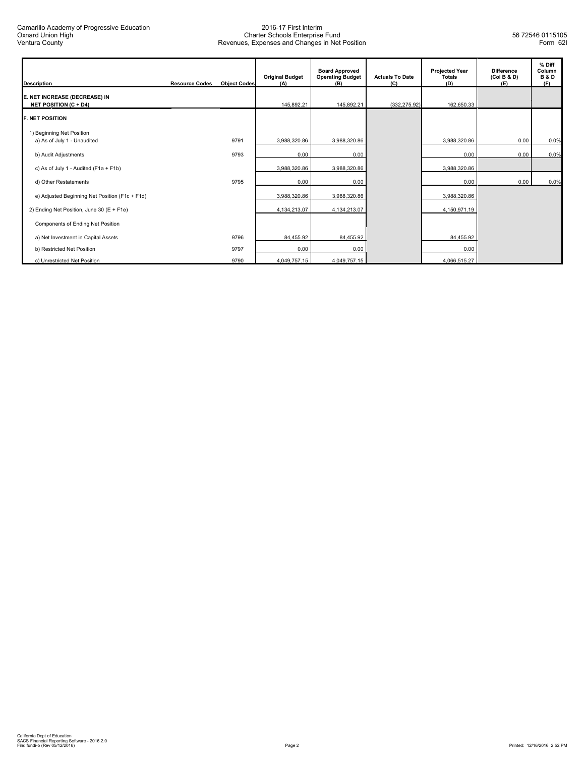| <b>Description</b>                                            | <b>Resource Codes</b> | <b>Object Codes</b> | <b>Original Budget</b><br>(A) | <b>Board Approved</b><br><b>Operating Budget</b><br>(B) | <b>Actuals To Date</b><br>(C) | <b>Projected Year</b><br><b>Totals</b><br>(D) | <b>Difference</b><br>(Col B & D)<br>(E) | % Diff<br>Column<br><b>B&amp;D</b><br>(F) |
|---------------------------------------------------------------|-----------------------|---------------------|-------------------------------|---------------------------------------------------------|-------------------------------|-----------------------------------------------|-----------------------------------------|-------------------------------------------|
| E. NET INCREASE (DECREASE) IN<br><b>NET POSITION (C + D4)</b> |                       |                     | 145,892.21                    | 145,892.21                                              | (332, 275.92)                 | 162,650.33                                    |                                         |                                           |
| <b>F. NET POSITION</b>                                        |                       |                     |                               |                                                         |                               |                                               |                                         |                                           |
| 1) Beginning Net Position<br>a) As of July 1 - Unaudited      |                       | 9791                | 3,988,320.86                  | 3,988,320.86                                            |                               | 3,988,320.86                                  | 0.00                                    | 0.0%                                      |
| b) Audit Adjustments                                          |                       | 9793                | 0.00                          | 0.00                                                    |                               | 0.00                                          | 0.00                                    | 0.0%                                      |
| c) As of July 1 - Audited (F1a + F1b)                         |                       |                     | 3,988,320.86                  | 3,988,320.86                                            |                               | 3,988,320.86                                  |                                         |                                           |
| d) Other Restatements                                         |                       | 9795                | 0.00                          | 0.00                                                    |                               | 0.00                                          | 0.00                                    | 0.0%                                      |
| e) Adjusted Beginning Net Position (F1c + F1d)                |                       |                     | 3,988,320.86                  | 3,988,320.86                                            |                               | 3,988,320.86                                  |                                         |                                           |
| 2) Ending Net Position, June 30 (E + F1e)                     |                       |                     | 4,134,213.07                  | 4,134,213.07                                            |                               | 4,150,971.19                                  |                                         |                                           |
| Components of Ending Net Position                             |                       |                     |                               |                                                         |                               |                                               |                                         |                                           |
| a) Net Investment in Capital Assets                           |                       | 9796                | 84,455.92                     | 84,455.92                                               |                               | 84,455.92                                     |                                         |                                           |
| b) Restricted Net Position                                    |                       | 9797                | 0.00                          | 0.00                                                    |                               | 0.00                                          |                                         |                                           |
| c) Unrestricted Net Position                                  |                       | 9790                | 4,049,757.15                  | 4,049,757.15                                            |                               | 4,066,515.27                                  |                                         |                                           |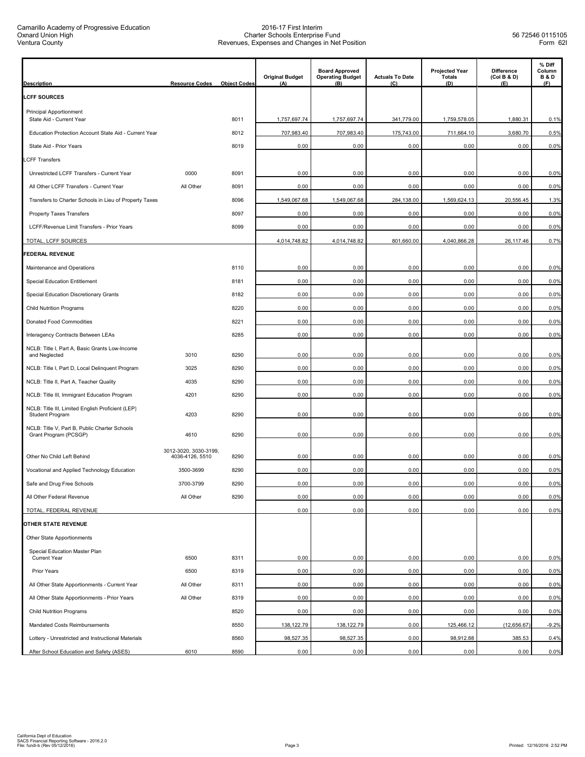| <b>Description</b>                                                     | <b>Resource Codes</b>                    | <b>Object Codes</b> | <b>Original Budget</b><br>(A) | <b>Board Approved</b><br><b>Operating Budget</b><br>(B) | <b>Actuals To Date</b><br>(C) | <b>Projected Year</b><br><b>Totals</b><br>(D) | <b>Difference</b><br>(Col B & D)<br>(E) | % Diff<br>Column<br><b>B&amp;D</b><br>(F) |
|------------------------------------------------------------------------|------------------------------------------|---------------------|-------------------------------|---------------------------------------------------------|-------------------------------|-----------------------------------------------|-----------------------------------------|-------------------------------------------|
| <b>LCFF SOURCES</b>                                                    |                                          |                     |                               |                                                         |                               |                                               |                                         |                                           |
| Principal Apportionment<br>State Aid - Current Year                    |                                          | 8011                | 1,757,697.74                  | 1,757,697.74                                            | 341,779.00                    | 1,759,578.05                                  | 1,880.31                                | 0.1%                                      |
| Education Protection Account State Aid - Current Year                  |                                          | 8012                | 707,983.40                    | 707,983.40                                              | 175,743.00                    | 711,664.10                                    | 3,680.70                                | 0.5%                                      |
| State Aid - Prior Years                                                |                                          | 8019                | 0.00                          | 0.00                                                    | 0.00                          | 0.00                                          | 0.00                                    | 0.0%                                      |
| CFF Transfers                                                          |                                          |                     |                               |                                                         |                               |                                               |                                         |                                           |
| Unrestricted LCFF Transfers - Current Year                             | 0000                                     | 8091                | 0.00                          | 0.00                                                    | 0.00                          | 0.00                                          | 0.00                                    | 0.0%                                      |
| All Other LCFF Transfers - Current Year                                | All Other                                | 8091                | 0.00                          | 0.00                                                    | 0.00                          | 0.00                                          | 0.00                                    | 0.0%                                      |
| Transfers to Charter Schools in Lieu of Property Taxes                 |                                          | 8096                | 1,549,067.68                  | 1,549,067.68                                            | 284,138.00                    | 1,569,624.13                                  | 20,556.45                               | 1.3%                                      |
| Property Taxes Transfers                                               |                                          | 8097                | 0.00                          | 0.00                                                    | 0.00                          | 0.00                                          | 0.00                                    | 0.0%                                      |
| LCFF/Revenue Limit Transfers - Prior Years                             |                                          | 8099                | 0.00                          | 0.00                                                    | 0.00                          | 0.00                                          | 0.00                                    | 0.0%                                      |
| TOTAL, LCFF SOURCES                                                    |                                          |                     | 4,014,748.82                  | 4,014,748.82                                            | 801,660.00                    | 4,040,866.28                                  | 26,117.46                               | 0.7%                                      |
| <b>FEDERAL REVENUE</b>                                                 |                                          |                     |                               |                                                         |                               |                                               |                                         |                                           |
| Maintenance and Operations                                             |                                          | 8110                | 0.00                          | 0.00                                                    | 0.00                          | 0.00                                          | 0.00                                    | 0.0%                                      |
| Special Education Entitlement                                          |                                          | 8181                | 0.00                          | 0.00                                                    | 0.00                          | 0.00                                          | 0.00                                    | 0.0%                                      |
| Special Education Discretionary Grants                                 |                                          | 8182                | 0.00                          | 0.00                                                    | 0.00                          | 0.00                                          | 0.00                                    | 0.0%                                      |
| <b>Child Nutrition Programs</b>                                        |                                          | 8220                | 0.00                          | 0.00                                                    | 0.00                          | 0.00                                          | 0.00                                    | 0.0%                                      |
| Donated Food Commodities                                               |                                          | 8221                | 0.00                          | 0.00                                                    | 0.00                          | 0.00                                          | 0.00                                    | 0.0%                                      |
| Interagency Contracts Between LEAs                                     |                                          | 8285                | 0.00                          | 0.00                                                    | 0.00                          | 0.00                                          | 0.00                                    | 0.0%                                      |
| NCLB: Title I, Part A, Basic Grants Low-Income<br>and Neglected        | 3010                                     | 8290                | 0.00                          | 0.00                                                    | 0.00                          | 0.00                                          | 0.00                                    | 0.0%                                      |
| NCLB: Title I, Part D, Local Delinquent Program                        | 3025                                     | 8290                | 0.00                          | 0.00                                                    | 0.00                          | 0.00                                          | 0.00                                    | 0.0%                                      |
| NCLB: Title II, Part A, Teacher Quality                                | 4035                                     | 8290                | 0.00                          | 0.00                                                    | 0.00                          | 0.00                                          | 0.00                                    | 0.0%                                      |
| NCLB: Title III, Immigrant Education Program                           | 4201                                     | 8290                | 0.00                          | 0.00                                                    | 0.00                          | 0.00                                          | 0.00                                    | 0.0%                                      |
| NCLB: Title III, Limited English Proficient (LEP)<br>Student Program   | 4203                                     | 8290                | 0.00                          | 0.00                                                    | 0.00                          | 0.00                                          | 0.00                                    | 0.0%                                      |
| NCLB: Title V, Part B, Public Charter Schools<br>Grant Program (PCSGP) | 4610                                     | 8290                | 0.00                          | 0.00                                                    | 0.00                          | 0.00                                          | 0.00                                    | 0.0%                                      |
| Other No Child Left Behind                                             | 3012-3020, 3030-3199,<br>4036-4126, 5510 | 8290                | 0.00                          | 0.00                                                    | 0.00                          | 0.00                                          | 0.00                                    | 0.0%                                      |
| Vocational and Applied Technology Education                            | 3500-3699                                | 8290                | 0.00                          | 0.00                                                    | 0.00                          | 0.00                                          | 0.00                                    | 0.0%                                      |
| Safe and Drug Free Schools                                             | 3700-3799                                | 8290                | 0.00                          | 0.00                                                    | 0.00                          | 0.00                                          | 0.00                                    | 0.0%                                      |
| All Other Federal Revenue                                              | All Other                                | 8290                | 0.00                          | 0.00                                                    | 0.00                          | 0.00                                          | 0.00                                    | 0.0%                                      |
| TOTAL, FEDERAL REVENUE                                                 |                                          |                     | 0.00                          | 0.00                                                    | 0.00                          | 0.00                                          | 0.00                                    | 0.0%                                      |
| OTHER STATE REVENUE                                                    |                                          |                     |                               |                                                         |                               |                                               |                                         |                                           |
| Other State Apportionments                                             |                                          |                     |                               |                                                         |                               |                                               |                                         |                                           |
| Special Education Master Plan<br><b>Current Year</b>                   | 6500                                     | 8311                | 0.00                          | 0.00                                                    | 0.00                          | 0.00                                          | 0.00                                    | 0.0%                                      |
| Prior Years                                                            | 6500                                     | 8319                | 0.00                          | 0.00                                                    | 0.00                          | 0.00                                          | 0.00                                    | 0.0%                                      |
| All Other State Apportionments - Current Year                          | All Other                                | 8311                | 0.00                          | 0.00                                                    | 0.00                          | 0.00                                          | 0.00                                    | 0.0%                                      |
| All Other State Apportionments - Prior Years                           | All Other                                | 8319                | 0.00                          | 0.00                                                    | 0.00                          | 0.00                                          | 0.00                                    | 0.0%                                      |
| <b>Child Nutrition Programs</b>                                        |                                          | 8520                | 0.00                          | 0.00                                                    | 0.00                          | 0.00                                          | 0.00                                    | 0.0%                                      |
| Mandated Costs Reimbursements                                          |                                          | 8550                | 138,122.79                    | 138,122.79                                              | 0.00                          | 125,466.12                                    | (12,656.67)                             | $-9.2%$                                   |
| Lottery - Unrestricted and Instructional Materials                     |                                          | 8560                | 98,527.35                     | 98,527.35                                               | 0.00                          | 98,912.88                                     | 385.53                                  | 0.4%                                      |
| After School Education and Safety (ASES)                               | 6010                                     | 8590                | 0.00                          | 0.00                                                    | 0.00                          | 0.00                                          | 0.00                                    | 0.0%                                      |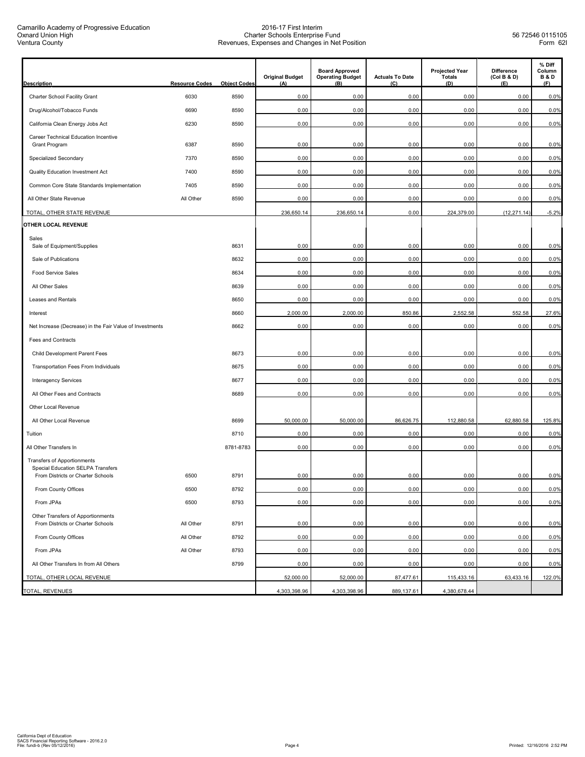Camarillo Academy of Progressive Education Oxnard Union High Ventura County

| <b>Description</b>                                                                                           | <b>Resource Codes</b> | <b>Object Codes</b> | <b>Original Budget</b><br>(A) | <b>Board Approved</b><br><b>Operating Budget</b><br>(B) | <b>Actuals To Date</b><br>(C) | <b>Projected Year</b><br><b>Totals</b><br>(D) | <b>Difference</b><br>(Col B & D)<br>(E) | % Diff<br>Column<br><b>B&amp;D</b><br>(F) |
|--------------------------------------------------------------------------------------------------------------|-----------------------|---------------------|-------------------------------|---------------------------------------------------------|-------------------------------|-----------------------------------------------|-----------------------------------------|-------------------------------------------|
| Charter School Facility Grant                                                                                | 6030                  | 8590                | 0.00                          | 0.00                                                    | 0.00                          | 0.00                                          | 0.00                                    | 0.0%                                      |
| Drug/Alcohol/Tobacco Funds                                                                                   | 6690                  | 8590                | 0.00                          | 0.00                                                    | 0.00                          | 0.00                                          | 0.00                                    | 0.0%                                      |
| California Clean Energy Jobs Act                                                                             | 6230                  | 8590                | 0.00                          | 0.00                                                    | 0.00                          | 0.00                                          | 0.00                                    | 0.0%                                      |
| Career Technical Education Incentive<br>Grant Program                                                        | 6387                  | 8590                | 0.00                          | 0.00                                                    | 0.00                          | 0.00                                          | 0.00                                    | 0.0%                                      |
| Specialized Secondary                                                                                        | 7370                  | 8590                | 0.00                          | 0.00                                                    | 0.00                          | 0.00                                          | 0.00                                    | 0.0%                                      |
| Quality Education Investment Act                                                                             | 7400                  | 8590                | 0.00                          | 0.00                                                    | 0.00                          | 0.00                                          | 0.00                                    | 0.0%                                      |
| Common Core State Standards Implementation                                                                   | 7405                  | 8590                | 0.00                          | 0.00                                                    | 0.00                          | 0.00                                          | 0.00                                    | 0.0%                                      |
| All Other State Revenue                                                                                      | All Other             | 8590                | 0.00                          | 0.00                                                    | 0.00                          | 0.00                                          | 0.00                                    | 0.0%                                      |
| TOTAL, OTHER STATE REVENUE                                                                                   |                       |                     | 236,650.14                    | 236,650.14                                              | 0.00                          | 224,379.00                                    | (12, 271.14)                            | $-5.2%$                                   |
| OTHER LOCAL REVENUE                                                                                          |                       |                     |                               |                                                         |                               |                                               |                                         |                                           |
| Sales                                                                                                        |                       |                     |                               |                                                         |                               |                                               |                                         |                                           |
| Sale of Equipment/Supplies                                                                                   |                       | 8631                | 0.00                          | 0.00                                                    | 0.00                          | 0.00                                          | 0.00                                    | 0.0%                                      |
| Sale of Publications                                                                                         |                       | 8632                | 0.00                          | 0.00                                                    | 0.00                          | 0.00                                          | 0.00                                    | 0.0%                                      |
| Food Service Sales                                                                                           |                       | 8634                | 0.00                          | 0.00                                                    | 0.00                          | 0.00                                          | 0.00                                    | 0.0%                                      |
| All Other Sales                                                                                              |                       | 8639                | 0.00                          | 0.00                                                    | 0.00                          | 0.00                                          | 0.00                                    | 0.0%                                      |
| <b>Leases and Rentals</b>                                                                                    |                       | 8650                | 0.00                          | 0.00                                                    | 0.00                          | 0.00                                          | 0.00                                    | 0.0%                                      |
| Interest                                                                                                     |                       | 8660                | 2,000.00                      | 2,000.00                                                | 850.86                        | 2,552.58                                      | 552.58                                  | 27.6%                                     |
| Net Increase (Decrease) in the Fair Value of Investments                                                     |                       | 8662                | 0.00                          | 0.00                                                    | 0.00                          | 0.00                                          | 0.00                                    | 0.0%                                      |
| Fees and Contracts                                                                                           |                       |                     |                               |                                                         |                               |                                               |                                         |                                           |
| Child Development Parent Fees                                                                                |                       | 8673                | 0.00                          | 0.00                                                    | 0.00                          | 0.00                                          | 0.00                                    | 0.0%                                      |
| Transportation Fees From Individuals                                                                         |                       | 8675                | 0.00                          | 0.00                                                    | 0.00                          | 0.00                                          | 0.00                                    | 0.0%                                      |
| <b>Interagency Services</b>                                                                                  |                       | 8677                | 0.00                          | 0.00                                                    | 0.00                          | 0.00                                          | 0.00                                    | 0.0%                                      |
| All Other Fees and Contracts                                                                                 |                       | 8689                | 0.00                          | 0.00                                                    | 0.00                          | 0.00                                          | 0.00                                    | 0.0%                                      |
| Other Local Revenue                                                                                          |                       |                     |                               |                                                         |                               |                                               |                                         |                                           |
| All Other Local Revenue                                                                                      |                       | 8699                | 50,000.00                     | 50,000.00                                               | 86,626.75                     | 112,880.58                                    | 62,880.58                               | 125.8%                                    |
| Tuition                                                                                                      |                       | 8710                | 0.00                          | 0.00                                                    | 0.00                          | 0.00                                          | 0.00                                    | 0.0%                                      |
| All Other Transfers In                                                                                       |                       | 8781-8783           | 0.00                          | 0.00                                                    | 0.00                          | 0.00                                          | 0.00                                    | 0.0%                                      |
| <b>Transfers of Apportionments</b><br>Special Education SELPA Transfers<br>From Districts or Charter Schools | 6500                  | 8791                | 0.00                          | 0.00                                                    | 0.00                          | 0.00                                          | 0.00                                    | 0.0%                                      |
|                                                                                                              |                       |                     |                               |                                                         |                               |                                               |                                         |                                           |
| From County Offices                                                                                          | 6500                  | 8792                | 0.00                          | 0.00                                                    | 0.00                          | 0.00                                          | 0.00                                    | 0.0%                                      |
| From JPAs                                                                                                    | 6500                  | 8793                | 0.00                          | 0.00                                                    | 0.00                          | 0.00                                          | 0.00                                    | 0.0%                                      |
| Other Transfers of Apportionments<br>From Districts or Charter Schools                                       | All Other             | 8791                | 0.00                          | 0.00                                                    | 0.00                          | 0.00                                          | 0.00                                    | 0.0%                                      |
| From County Offices                                                                                          | All Other             | 8792                | 0.00                          | 0.00                                                    | 0.00                          | 0.00                                          | 0.00                                    | 0.0%                                      |
| From JPAs                                                                                                    | All Other             | 8793                | 0.00                          | 0.00                                                    | 0.00                          | 0.00                                          | 0.00                                    | 0.0%                                      |
| All Other Transfers In from All Others                                                                       |                       | 8799                | 0.00                          | 0.00                                                    | 0.00                          | 0.00                                          | 0.00                                    | 0.0%                                      |
| TOTAL, OTHER LOCAL REVENUE                                                                                   |                       |                     | 52,000.00                     | 52,000.00                                               | 87,477.61                     | 115,433.16                                    | 63,433.16                               | 122.0%                                    |
| TOTAL, REVENUES                                                                                              |                       |                     | 4,303,398.96                  | 4,303,398.96                                            | 889,137.61                    | 4,380,678.44                                  |                                         |                                           |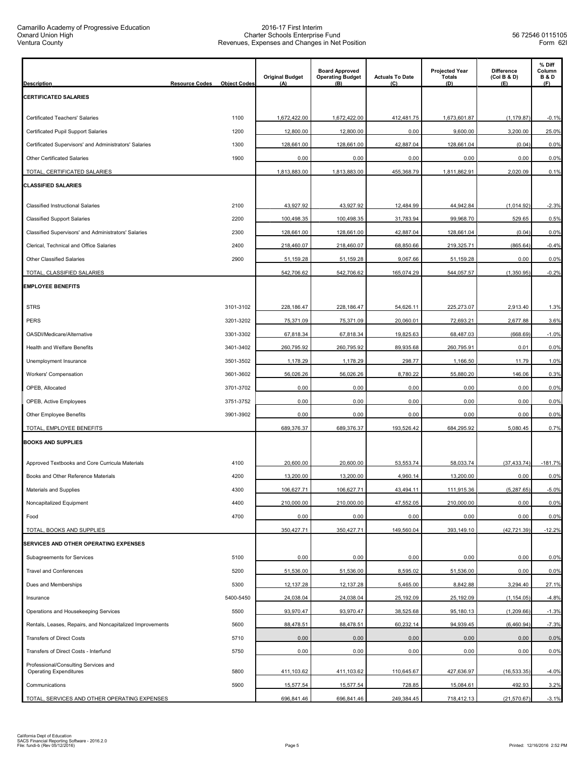| <b>Description</b>                                             | <b>Resource Codes</b> | <b>Object Codes</b> | <b>Original Budget</b><br>(A) | <b>Board Approved</b><br><b>Operating Budget</b><br>(B) | <b>Actuals To Date</b><br>(C) | <b>Projected Year</b><br><b>Totals</b><br>(D) | Difference<br>(Col B & D)<br>(E) | % Diff<br>Column<br><b>B&amp;D</b><br>(F) |
|----------------------------------------------------------------|-----------------------|---------------------|-------------------------------|---------------------------------------------------------|-------------------------------|-----------------------------------------------|----------------------------------|-------------------------------------------|
| <b>CERTIFICATED SALARIES</b>                                   |                       |                     |                               |                                                         |                               |                                               |                                  |                                           |
| <b>Certificated Teachers' Salaries</b>                         |                       | 1100                | 1,672,422.00                  | 1,672,422.00                                            | 412,481.75                    | 1,673,601.87                                  | (1, 179.87)                      | $-0.1%$                                   |
| Certificated Pupil Support Salaries                            |                       | 1200                | 12,800.00                     | 12,800.00                                               | 0.00                          | 9,600.00                                      | 3,200.00                         | 25.0%                                     |
| Certificated Supervisors' and Administrators' Salaries         |                       | 1300                | 128,661.00                    | 128,661.00                                              | 42,887.04                     | 128,661.04                                    | (0.04)                           | 0.0%                                      |
| <b>Other Certificated Salaries</b>                             |                       | 1900                | 0.00                          | 0.00                                                    | 0.00                          | 0.00                                          | 0.00                             | 0.0%                                      |
| TOTAL, CERTIFICATED SALARIES                                   |                       |                     | 1,813,883.00                  | 1,813,883.00                                            | 455,368.79                    | 1,811,862.91                                  | 2,020.09                         | 0.1%                                      |
| <b>CLASSIFIED SALARIES</b>                                     |                       |                     |                               |                                                         |                               |                                               |                                  |                                           |
|                                                                |                       |                     |                               |                                                         |                               |                                               |                                  |                                           |
| <b>Classified Instructional Salaries</b>                       |                       | 2100                | 43,927.92                     | 43,927.92                                               | 12,484.99                     | 44,942.84                                     | (1,014.92)                       | $-2.3%$                                   |
| <b>Classified Support Salaries</b>                             |                       | 2200                | 100,498.35                    | 100,498.35                                              | 31,783.94                     | 99,968.70                                     | 529.65                           | 0.5%                                      |
| Classified Supervisors' and Administrators' Salaries           |                       | 2300                | 128,661.00                    | 128,661.00                                              | 42,887.04                     | 128,661.04                                    | (0.04)                           | 0.0%                                      |
| Clerical, Technical and Office Salaries                        |                       | 2400                | 218,460.07                    | 218,460.07                                              | 68,850.66                     | 219,325.71                                    | (865.64)                         | $-0.4%$                                   |
| Other Classified Salaries                                      |                       | 2900                | 51,159.28                     | 51,159.28                                               | 9,067.66                      | 51,159.28                                     | 0.00                             | 0.0%                                      |
| TOTAL, CLASSIFIED SALARIES                                     |                       |                     | 542,706.62                    | 542,706.62                                              | 165,074.29                    | 544,057.57                                    | (1,350.95)                       | $-0.2%$                                   |
| <b>EMPLOYEE BENEFITS</b>                                       |                       |                     |                               |                                                         |                               |                                               |                                  |                                           |
| <b>STRS</b>                                                    |                       | 3101-3102           | 228,186.47                    | 228,186.47                                              | 54,626.11                     | 225.273.07                                    | 2,913.40                         | 1.3%                                      |
| <b>PERS</b>                                                    |                       | 3201-3202           | 75,371.09                     | 75,371.09                                               | 20,060.01                     | 72,693.21                                     | 2,677.88                         | 3.6%                                      |
| OASDI/Medicare/Alternative                                     |                       | 3301-3302           | 67,818.34                     | 67,818.34                                               | 19,825.63                     | 68,487.03                                     | (668.69)                         | $-1.0%$                                   |
| Health and Welfare Benefits                                    |                       | 3401-3402           | 260,795.92                    | 260,795.92                                              | 89,935.68                     | 260,795.91                                    | 0.01                             | 0.0%                                      |
| Unemployment Insurance                                         |                       | 3501-3502           | 1,178.29                      | 1,178.29                                                | 298.77                        | 1,166.50                                      | 11.79                            | 1.0%                                      |
| Workers' Compensation                                          |                       | 3601-3602           | 56,026.26                     | 56,026.26                                               | 8,780.22                      | 55,880.20                                     | 146.06                           | 0.3%                                      |
| OPEB, Allocated                                                |                       | 3701-3702           | 0.00                          | 0.00                                                    | 0.00                          | 0.00                                          | 0.00                             | 0.0%                                      |
| OPEB, Active Employees                                         |                       | 3751-3752           | 0.00                          | 0.00                                                    | 0.00                          | 0.00                                          | 0.00                             | 0.0%                                      |
| Other Employee Benefits                                        |                       | 3901-3902           | 0.00                          | 0.00                                                    | 0.00                          | 0.00                                          | 0.00                             | 0.0%                                      |
| TOTAL, EMPLOYEE BENEFITS                                       |                       |                     | 689,376.37                    | 689,376.37                                              | 193,526.42                    | 684,295.92                                    | 5,080.45                         | 0.7%                                      |
| <b>BOOKS AND SUPPLIES</b>                                      |                       |                     |                               |                                                         |                               |                                               |                                  |                                           |
| Approved Textbooks and Core Curricula Materials                |                       | 4100                | 20,600.00                     | 20,600.00                                               | 53,553.74                     | 58,033.74                                     | (37, 433.74)                     | $-181.7%$                                 |
| Books and Other Reference Materials                            |                       | 4200                | 13,200.00                     | 13,200.00                                               | 4,960.14                      | 13,200.00                                     | 0.00                             | 0.0%                                      |
| Materials and Supplies                                         |                       | 4300                | 106,627.71                    | 106,627.71                                              | 43,494.11                     | 111,915.36                                    | (5, 287.65)                      | $-5.0%$                                   |
| Noncapitalized Equipment                                       |                       | 4400                | 210,000.00                    | 210,000.00                                              | 47,552.05                     | 210,000.00                                    | 0.00                             | 0.0%                                      |
| Food                                                           |                       | 4700                | 0.00                          | 0.00                                                    | 0.00                          | 0.00                                          | 0.00                             | 0.0%                                      |
| TOTAL, BOOKS AND SUPPLIES                                      |                       |                     | 350,427.71                    | 350,427.71                                              | 149,560.04                    | 393,149.10                                    | (42, 721.39)                     | $-12.2%$                                  |
| <b>SERVICES AND OTHER OPERATING EXPENSES</b>                   |                       |                     |                               |                                                         |                               |                                               |                                  |                                           |
| Subagreements for Services                                     |                       | 5100                | 0.00                          | 0.00                                                    | 0.00                          | 0.00                                          | 0.00                             | 0.0%                                      |
| <b>Travel and Conferences</b>                                  |                       | 5200                | 51,536.00                     | 51,536.00                                               | 8,595.02                      | 51,536.00                                     | 0.00                             | 0.0%                                      |
| Dues and Memberships                                           |                       | 5300                | 12, 137.28                    | 12,137.28                                               | 5,465.00                      | 8,842.88                                      | 3,294.40                         | 27.1%                                     |
| Insurance                                                      |                       | 5400-5450           | 24,038.04                     | 24,038.04                                               | 25,192.09                     | 25, 192.09                                    | (1, 154.05)                      | $-4.8%$                                   |
| Operations and Housekeeping Services                           |                       | 5500                | 93,970.47                     | 93,970.47                                               | 38,525.68                     | 95,180.13                                     | (1, 209.66)                      | $-1.3%$                                   |
| Rentals, Leases, Repairs, and Noncapitalized Improvements      |                       | 5600                | 88,478.51                     | 88,478.51                                               | 60,232.14                     | 94,939.45                                     | (6,460.94)                       | $-7.3%$                                   |
| <b>Transfers of Direct Costs</b>                               |                       | 5710                | 0.00                          | 0.00                                                    | 0.00                          | 0.00                                          | 0.00                             | 0.0%                                      |
| Transfers of Direct Costs - Interfund                          |                       | 5750                | 0.00                          | 0.00                                                    | 0.00                          | 0.00                                          | 0.00                             | 0.0%                                      |
| Professional/Consulting Services and<br>Operating Expenditures |                       | 5800                | 411,103.62                    | 411,103.62                                              | 110,645.67                    | 427,636.97                                    | (16, 533.35)                     | $-4.0%$                                   |
| Communications                                                 |                       | 5900                | 15,577.54                     | 15,577.54                                               | 728.85                        | 15,084.61                                     | 492.93                           | 3.2%                                      |
| TOTAL, SERVICES AND OTHER OPERATING EXPENSES                   |                       |                     | 696,841.46                    | 696,841.46                                              | 249,384.45                    | 718,412.13                                    | (21, 570.67)                     | $-3.1%$                                   |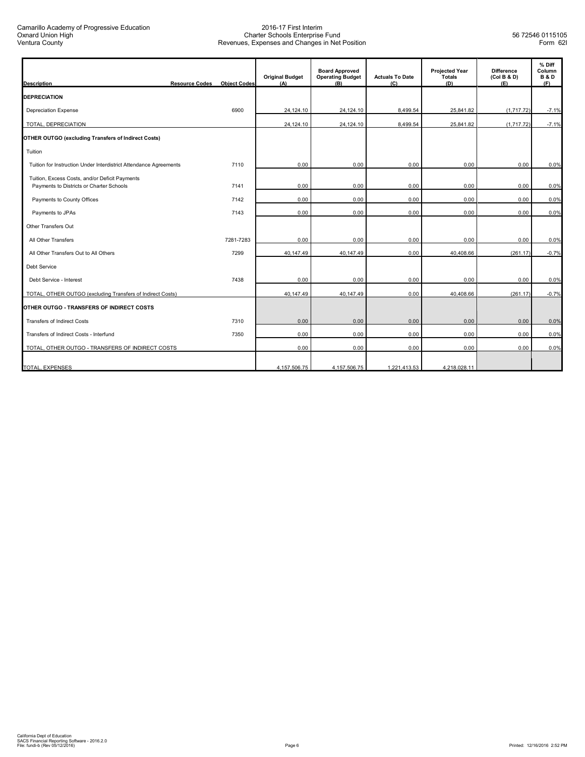| <b>Description</b>                                                                         | <b>Resource Codes</b> | <b>Object Codes</b> | <b>Original Budget</b><br>(A) | <b>Board Approved</b><br><b>Operating Budget</b><br>(B) | <b>Actuals To Date</b><br>(C) | <b>Projected Year</b><br>Totals<br>(D) | <b>Difference</b><br>(Col B & D)<br>(E) | % Diff<br>Column<br><b>B&amp;D</b><br>(F) |
|--------------------------------------------------------------------------------------------|-----------------------|---------------------|-------------------------------|---------------------------------------------------------|-------------------------------|----------------------------------------|-----------------------------------------|-------------------------------------------|
| <b>DEPRECIATION</b>                                                                        |                       |                     |                               |                                                         |                               |                                        |                                         |                                           |
| <b>Depreciation Expense</b>                                                                |                       | 6900                | 24.124.10                     | 24.124.10                                               | 8.499.54                      | 25.841.82                              | (1.717.72)                              | $-7.1%$                                   |
| TOTAL, DEPRECIATION                                                                        |                       |                     | 24,124.10                     | 24,124.10                                               | 8,499.54                      | 25,841.82                              | (1,717.72)                              | $-7.1%$                                   |
| <b>OTHER OUTGO (excluding Transfers of Indirect Costs)</b>                                 |                       |                     |                               |                                                         |                               |                                        |                                         |                                           |
| Tuition                                                                                    |                       |                     |                               |                                                         |                               |                                        |                                         |                                           |
| Tuition for Instruction Under Interdistrict Attendance Agreements                          |                       | 7110                | 0.00                          | 0.00                                                    | 0.00                          | 0.00                                   | 0.00                                    | 0.0%                                      |
| Tuition, Excess Costs, and/or Deficit Payments<br>Payments to Districts or Charter Schools |                       | 7141                | 0.00                          | 0.00                                                    | 0.00                          | 0.00                                   | 0.00                                    | 0.0%                                      |
| Payments to County Offices                                                                 |                       | 7142                | 0.00                          | 0.00                                                    | 0.00                          | 0.00                                   | 0.00                                    | 0.0%                                      |
| Payments to JPAs                                                                           |                       | 7143                | 0.00                          | 0.00                                                    | 0.00                          | 0.00                                   | 0.00                                    | 0.0%                                      |
| Other Transfers Out                                                                        |                       |                     |                               |                                                         |                               |                                        |                                         |                                           |
| All Other Transfers                                                                        |                       | 7281-7283           | 0.00                          | 0.00                                                    | 0.00                          | 0.00                                   | 0.00                                    | 0.0%                                      |
| All Other Transfers Out to All Others                                                      |                       | 7299                | 40.147.49                     | 40.147.49                                               | 0.00                          | 40.408.66                              | (261.17)                                | $-0.7%$                                   |
| Debt Service                                                                               |                       |                     |                               |                                                         |                               |                                        |                                         |                                           |
| Debt Service - Interest                                                                    |                       | 7438                | 0.00                          | 0.00                                                    | 0.00                          | 0.00                                   | 0.00                                    | 0.0%                                      |
| TOTAL, OTHER OUTGO (excluding Transfers of Indirect Costs)                                 |                       |                     | 40,147.49                     | 40,147.49                                               | 0.00                          | 40,408.66                              | (261.17)                                | $-0.7%$                                   |
| OTHER OUTGO - TRANSFERS OF INDIRECT COSTS                                                  |                       |                     |                               |                                                         |                               |                                        |                                         |                                           |
| <b>Transfers of Indirect Costs</b>                                                         |                       | 7310                | 0.00                          | 0.00                                                    | 0.00                          | 0.00                                   | 0.00                                    | 0.0%                                      |
| Transfers of Indirect Costs - Interfund                                                    |                       | 7350                | 0.00                          | 0.00                                                    | 0.00                          | 0.00                                   | 0.00                                    | 0.0%                                      |
| TOTAL, OTHER OUTGO - TRANSFERS OF INDIRECT COSTS                                           |                       |                     | 0.00                          | 0.00                                                    | 0.00                          | 0.00                                   | 0.00                                    | 0.0%                                      |
| TOTAL, EXPENSES                                                                            |                       |                     | 4,157,506.75                  | 4, 157, 506. 75                                         | 1,221,413.53                  | 4,218,028.11                           |                                         |                                           |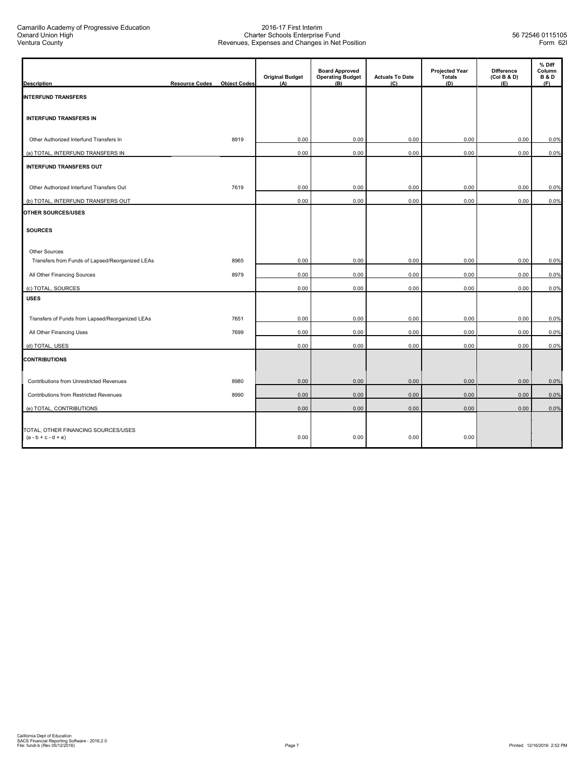| <b>Description</b>                                           | <b>Resource Codes</b> | <b>Object Codes</b> | <b>Original Budget</b><br>(A) | <b>Board Approved</b><br><b>Operating Budget</b><br>(B) | <b>Actuals To Date</b><br>(C) | <b>Projected Year</b><br><b>Totals</b><br>(D) | <b>Difference</b><br>(Col B & D)<br>(E) | % Diff<br>Column<br><b>B&amp;D</b><br>(F) |
|--------------------------------------------------------------|-----------------------|---------------------|-------------------------------|---------------------------------------------------------|-------------------------------|-----------------------------------------------|-----------------------------------------|-------------------------------------------|
| <b>INTERFUND TRANSFERS</b>                                   |                       |                     |                               |                                                         |                               |                                               |                                         |                                           |
| <b>INTERFUND TRANSFERS IN</b>                                |                       |                     |                               |                                                         |                               |                                               |                                         |                                           |
| Other Authorized Interfund Transfers In                      |                       | 8919                | 0.00                          | 0.00                                                    | 0.00                          | 0.00                                          | 0.00                                    | 0.0%                                      |
| (a) TOTAL, INTERFUND TRANSFERS IN                            |                       |                     | 0.00                          | 0.00                                                    | 0.00                          | 0.00                                          | 0.00                                    | 0.0%                                      |
| <b>INTERFUND TRANSFERS OUT</b>                               |                       |                     |                               |                                                         |                               |                                               |                                         |                                           |
| Other Authorized Interfund Transfers Out                     |                       | 7619                | 0.00                          | 0.00                                                    | 0.00                          | 0.00                                          | 0.00                                    | 0.0%                                      |
| (b) TOTAL, INTERFUND TRANSFERS OUT                           |                       |                     | 0.00                          | 0.00                                                    | 0.00                          | 0.00                                          | 0.00                                    | 0.0%                                      |
| OTHER SOURCES/USES                                           |                       |                     |                               |                                                         |                               |                                               |                                         |                                           |
| <b>SOURCES</b>                                               |                       |                     |                               |                                                         |                               |                                               |                                         |                                           |
| <b>Other Sources</b>                                         |                       |                     |                               |                                                         |                               |                                               |                                         |                                           |
| Transfers from Funds of Lapsed/Reorganized LEAs              |                       | 8965                | 0.00                          | 0.00                                                    | 0.00                          | 0.00                                          | 0.00                                    | 0.0%                                      |
| All Other Financing Sources                                  |                       | 8979                | 0.00                          | 0.00                                                    | 0.00                          | 0.00                                          | 0.00                                    | 0.0%                                      |
| (c) TOTAL, SOURCES                                           |                       |                     | 0.00                          | 0.00                                                    | 0.00                          | 0.00                                          | 0.00                                    | 0.0%                                      |
| <b>USES</b>                                                  |                       |                     |                               |                                                         |                               |                                               |                                         |                                           |
| Transfers of Funds from Lapsed/Reorganized LEAs              |                       | 7651                | 0.00                          | 0.00                                                    | 0.00                          | 0.00                                          | 0.00                                    | 0.0%                                      |
| All Other Financing Uses                                     |                       | 7699                | 0.00                          | 0.00                                                    | 0.00                          | 0.00                                          | 0.00                                    | 0.0%                                      |
| (d) TOTAL, USES                                              |                       |                     | 0.00                          | 0.00                                                    | 0.00                          | 0.00                                          | 0.00                                    | 0.0%                                      |
| <b>CONTRIBUTIONS</b>                                         |                       |                     |                               |                                                         |                               |                                               |                                         |                                           |
| Contributions from Unrestricted Revenues                     |                       | 8980                | 0.00                          | 0.00                                                    | 0.00                          | 0.00                                          | 0.00                                    | 0.0%                                      |
| Contributions from Restricted Revenues                       |                       | 8990                | 0.00                          | 0.00                                                    | 0.00                          | 0.00                                          | 0.00                                    | 0.0%                                      |
| (e) TOTAL, CONTRIBUTIONS                                     |                       |                     | 0.00                          | 0.00                                                    | 0.00                          | 0.00                                          | 0.00                                    | 0.0%                                      |
| TOTAL, OTHER FINANCING SOURCES/USES<br>$(a - b + c - d + e)$ |                       |                     | 0.00                          | 0.00                                                    | 0.00                          | 0.00                                          |                                         |                                           |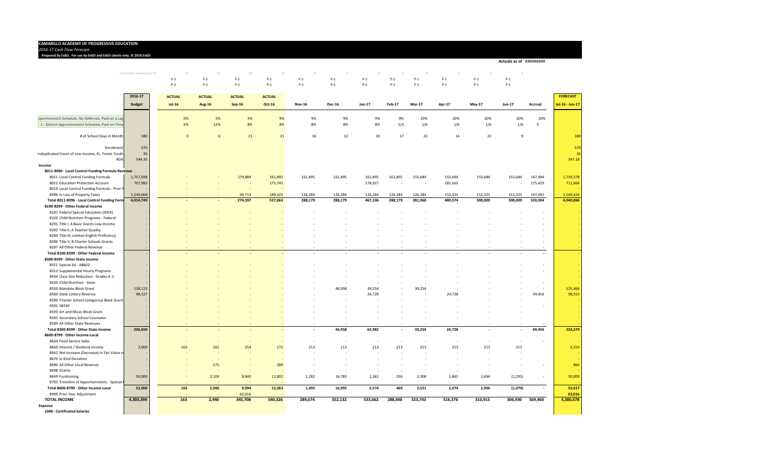#### **CAMARILLO ACADEMY OF PROGRESSIVE EDUCATION** *2016‐17 Cash Flow*

 *Forecast* 3 4 5 6 7 8 9 10 11 12 13 14 **Prepared by ExED.** For use by ExED and ExED clients only. © 2016 ExED

#### **Actuals as of** #########

*# of months remaining in FY* 12 11 10 9 8 7 6 5 4 3 2 1 P‐2 P‐2 P‐2 P‐2 P‐2 P‐2 P‐2 P‐2 P‐1 P‐1 P‐1 P‐1 P‐2 P‐2 P‐2 P‐2 P‐2 P‐2 P‐2 P‐1 P‐1 P‐1 P‐1 P‐1

|                                                    | 2016-17       | <b>ACTUAL</b>  | <b>ACTUAL</b> | <b>ACTUAL</b> | <b>ACTUAL</b>            |               |               |         |         |                          |         |                          |          |                          | <b>FORECAST</b> |
|----------------------------------------------------|---------------|----------------|---------------|---------------|--------------------------|---------------|---------------|---------|---------|--------------------------|---------|--------------------------|----------|--------------------------|-----------------|
|                                                    | <b>Budget</b> | $Jul-16$       | <b>Aug-16</b> | <b>Sep-16</b> | Oct-16                   | <b>Nov-16</b> | <b>Dec-16</b> | Jan-17  | Feb-17  | <b>Mar-17</b>            | Apr-17  | May-17                   | Jun-17   | Accrual                  | Jul-16 - Jun-17 |
|                                                    |               |                |               |               |                          |               |               |         |         |                          |         |                          |          |                          |                 |
| pportionment Schedule, No Deferrals, Paid on a Lag |               | 0%             | 5%            | 5%            | 9%                       | 9%            | 9%            | 9%      | 9%      | 20%                      | 20%     | 20%                      | 20%      | 20%                      |                 |
| 1 - District Apportionment Schedule, Paid on Time  |               | 6%             | 12%           | 8%            | 8%                       | 8%            | 8%            | 8%      | 1/3     | 1/6                      | 1/6     | 1/6                      | 1/6      | $\mathbf 0$              |                 |
| # of School Days in Month                          | 180           | $\overline{0}$ | 6             | 21            | 21                       | 16            | 12            | 20      | 17      | 22                       | 14      | 22                       | 9        |                          | 180             |
| Enrollment                                         | 570           |                |               |               |                          |               |               |         |         |                          |         |                          |          |                          | 570             |
| Induplicated Count of Low Income, EL, Foster Youth | 35            |                |               |               |                          |               |               |         |         |                          |         |                          |          |                          | -35             |
| ADA                                                | 544.35        |                |               |               |                          |               |               |         |         |                          |         |                          |          |                          | 547.18          |
| Income                                             |               |                |               |               |                          |               |               |         |         |                          |         |                          |          |                          |                 |
| 8011-8096 · Local Control Funding Formula Revenue  |               |                |               |               |                          |               |               |         |         |                          |         |                          |          |                          |                 |
| 8011 Local Control Funding Formula                 | 1,757,698     |                |               | 179,884       | 161,895                  | 161,895       | 161,895       | 161,895 | 161,895 | 155,684                  | 155,684 | 155,684                  | 155,684  | 147,484                  | 1,759,578       |
| 8012 Education Protection Account                  | 707,983       |                |               |               | 175,743                  |               | ÷.            | 178,927 |         |                          | 181,565 | $\overline{\phantom{a}}$ |          | 175,429                  | 711,664         |
| 8019 Local Control Funding Formula - Prior \       |               |                |               |               | $\sim$                   |               |               |         |         |                          |         |                          |          |                          |                 |
| 8096 In Lieu of Property Taxes                     | 1,549,068     |                |               | 94,713        | 189,425                  | 126,284       | 126,284       | 126,284 | 126,284 | 126,284                  | 152,325 | 152,325                  | 152,325  | 197,092                  | 1,569,624       |
| Total 8011-8096 · Local Control Funding Form       | 4,014,749     |                |               | 274,597       | 527,063                  | 288,179       | 288,179       | 467,106 | 288,179 | 281,968                  | 489,574 | 308,009                  | 308,009  | 520,004                  | 4,040,866       |
| 8100-8299 · Other Federal Income                   |               |                |               |               |                          |               |               |         |         |                          |         |                          |          |                          |                 |
| 8181 Federal Special Education (IDEA)              |               |                |               |               |                          |               |               |         |         |                          |         |                          |          |                          |                 |
| 8220 Child Nutrition Programs - Federal            |               |                |               |               |                          |               |               |         |         |                          |         |                          |          |                          |                 |
| 8291 Title I, A Basic Grants Low-Income            |               |                |               |               |                          |               |               |         |         |                          |         |                          |          |                          |                 |
| 8292 Title II, A Teacher Quality                   |               |                |               |               |                          |               |               |         |         |                          |         |                          |          |                          |                 |
| 8294 Title III, Limited English Proficiency        |               |                |               |               |                          |               |               |         |         |                          |         |                          |          |                          |                 |
| 8296 Title V, B Charter Schools Grants             |               |                |               |               |                          |               |               |         |         |                          |         |                          |          |                          |                 |
| 8297 All Other Federal Revenue                     |               |                |               |               |                          |               |               |         |         |                          |         |                          |          | $\sim$                   |                 |
| Total 8100-8299 · Other Federal Income             |               |                |               |               |                          |               |               |         |         |                          |         |                          |          |                          |                 |
| 8300-8599 · Other State Income                     |               |                |               |               |                          |               |               |         |         |                          |         |                          |          |                          |                 |
| 8311 Special Ed - AB602                            |               |                |               |               |                          |               |               |         |         |                          |         |                          |          |                          |                 |
| 8312 Supplemental Hourly Programs                  |               |                |               |               |                          |               |               |         |         |                          |         |                          |          | $\sim$                   |                 |
| 8434 Class Size Reduction - Grades K-3             |               |                |               |               |                          |               |               |         |         |                          |         |                          |          |                          |                 |
| 8520 Child Nutrition - State                       |               |                |               |               |                          |               |               |         |         |                          |         |                          |          | $\overline{\phantom{a}}$ |                 |
| 8550 Mandate Block Grant                           | 138,123       |                |               |               |                          |               | 46,958        | 39,254  |         | 39,254                   |         |                          |          | $\overline{\phantom{a}}$ | 125,466         |
| 8560 State Lottery Revenue                         | 98,527        |                |               |               |                          |               |               | 24,728  |         |                          | 24,728  |                          |          | 49,456                   | 98,913          |
| 8590 Charter School Categorical Block Grant        |               |                |               |               |                          |               |               |         |         |                          |         |                          |          |                          |                 |
| 8591 SB740                                         |               |                |               |               |                          |               |               |         |         |                          |         |                          |          |                          |                 |
| 8593 Art and Music Block Grant                     |               |                |               |               |                          |               |               |         |         |                          |         |                          |          |                          |                 |
| 8595 Secondary School Counselor                    |               |                |               |               |                          |               |               |         |         |                          |         |                          |          |                          |                 |
| 8599 All Other State Revenues                      |               |                |               |               |                          |               |               |         |         |                          |         |                          |          |                          |                 |
| Total 8300-8599 · Other State Income               | 236,650       |                |               |               | $\overline{\phantom{a}}$ | $\sim$        | 46,958        | 63,982  | $\sim$  | 39,254                   | 24,728  | $\sim$                   | $\sim$   | 49,456                   | 224,379         |
| 8600-8799 · Other Income-Local                     |               |                |               |               |                          |               |               |         |         |                          |         |                          |          |                          |                 |
| 8634 Food Service Sales                            |               |                |               |               |                          |               | и.            |         | ٠       | $\overline{\phantom{a}}$ |         | $\sim$                   |          |                          |                 |
| 8660 Interest / Dividend Income                    | 2,000         | 163            | 262           | 254           | 172                      | 213           | 213           | 213     | 213     | 213                      | 213     | 213                      | 213      |                          | 2,553           |
| 8662 Net Increase (Decrease) in Fair Value of      |               |                |               |               |                          |               | - 1           |         | ÷       |                          |         |                          |          |                          |                 |
| 8670 In Kind Donation                              |               |                |               |               |                          |               |               |         |         |                          |         |                          |          |                          |                 |
| 8690 All Other Local Revenue                       |               |                | 575           |               | 289                      |               |               |         |         |                          |         |                          |          | ٠                        | 864             |
| 8698 Grants                                        |               |                |               |               |                          |               |               |         | $\sim$  |                          |         | $\overline{\phantom{a}}$ |          |                          |                 |
| 8699 Fundraising                                   | 50,000        |                | 2,104         | 8,840         | 12,802                   | 1,282         | 16,783        | 2,361   | 256     | 2,308                    | 1,861   | 2,694                    | (1, 291) | $\overline{\phantom{a}}$ | 50,000          |
| 8792 Transfers of Apportionments - Special         |               |                |               |               |                          |               |               |         |         |                          |         |                          |          |                          |                 |
| Total 8600-8799 · Other Income-Local               | 52,000        | 163            | 2,940         | 9,094         | 13,263                   | 1,495         | 16,995        | 2,574   | 469     | 2,521                    | 2,074   | 2,906                    | (1,079)  | $\blacksquare$           | 53,417          |
| 8999 Prior Year Adjustment                         |               |                |               | 62,016        |                          |               |               |         |         |                          |         |                          |          |                          | 62,016          |
| <b>TOTAL INCOME</b>                                | 4,303,399     | 163            | 2,940         | 345,708       | 540,326                  | 289,674       | 352,132       | 533,662 | 288,648 | 323,743                  | 516,376 | 310,915                  | 306,930  | 569,460                  | 4,380,678       |
| <b>Expense</b>                                     |               |                |               |               |                          |               |               |         |         |                          |         |                          |          |                          |                 |
| 1000 · Certificated Salaries                       |               |                |               |               |                          |               |               |         |         |                          |         |                          |          |                          |                 |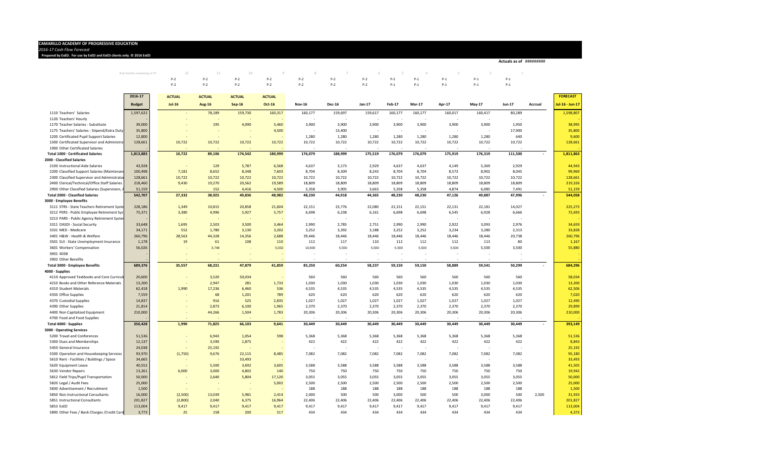#### **CAMARILLO ACADEMY OF PROGRESSIVE EDUCATION** *2016‐17 Cash FlowForecast* 3 4 5 6 7 8 9 10 11 12 13 14

**Prepared by ExED.** For use by ExED and ExED clients only. © 2016 ExED

**Actuals as of** #########

|                                                                                              | # of months remaining in FY |               |               |               |               |               |               |         |         |         |         |         |               |         |                   |
|----------------------------------------------------------------------------------------------|-----------------------------|---------------|---------------|---------------|---------------|---------------|---------------|---------|---------|---------|---------|---------|---------------|---------|-------------------|
|                                                                                              |                             | $P-2$         | $P-2$         | $P-2$         | $P-2$         | $P-2$         | $P-2$         | $P-2$   | $P-2$   | $P-1$   | $P-1$   | $P-1$   | $P-1$         |         |                   |
|                                                                                              |                             | $P-2$         | $P-2$         | $P-2$         | $P-2$         | $P-2$         | $P-2$         | $P-2$   | $P-1$   | $P-1$   | $P-1$   | $P-1$   | $P-1$         |         |                   |
|                                                                                              | 2016-17                     | <b>ACTUAL</b> | <b>ACTUAL</b> | <b>ACTUAL</b> | <b>ACTUAL</b> |               |               |         |         |         |         |         |               |         | <b>FORECAST</b>   |
|                                                                                              | <b>Budget</b>               | $Jul-16$      | <b>Aug-16</b> | $Sep-16$      | <b>Oct-16</b> | <b>Nov-16</b> | <b>Dec-16</b> | Jan-17  | Feb-17  | Mar-17  | Apr-17  | May-17  | <b>Jun-17</b> | Accrual | Jul-16 - Jun-17   |
| 1110 Teachers' Salaries                                                                      | 1,597,622                   |               | 78,189        | 159,730       | 160,317       | 160,177       | 159,697       | 159,617 | 160,177 | 160,177 | 160,017 | 160,417 | 80,289        |         | 1,598,807         |
| 1120 Teachers' Hourly                                                                        |                             |               |               |               |               |               |               |         |         |         |         |         |               |         |                   |
| 1170 Teacher Salaries - Substitute                                                           | 39,000                      |               | 195           | 4,090         | 5,460         | 3,900         | 3,900         | 3,900   | 3,900   | 3,900   | 3,900   | 3,900   | 1,950         |         | 38,995            |
| 1175 Teachers' Salaries - Stipend/Extra Duty                                                 | 35,800                      |               |               |               | 4,500         |               | 13,400        |         |         |         |         |         | 17,900        |         | 35,800            |
| 1200 Certificated Pupil Support Salaries                                                     | 12,800                      |               |               |               |               | 1,280         | 1,280         | 1,280   | 1,280   | 1,280   | 1,280   | 1,280   | 640           |         | 9,600             |
| 1300 Certificated Supervisor and Administra                                                  | 128,661                     | 10,722        | 10,722        | 10,722        | 10,722        | 10,722        | 10,722        | 10,722  | 10,722  | 10,722  | 10,722  | 10,722  | 10,722        |         | 128,661           |
| 1900 Other Certificated Salaries                                                             |                             |               |               |               |               |               |               |         |         |         |         |         |               |         |                   |
| Total 1000 · Certificated Salaries                                                           | 1,813,883                   | 10,722        | 89,106        | 174,542       | 180,999       | 176,079       | 188,999       | 175,519 | 176,079 | 176,079 | 175,919 | 176,319 | 111,500       | $\sim$  | 1,811,863         |
| 2000 · Classified Salaries                                                                   |                             |               |               |               |               |               |               |         |         |         |         |         |               |         |                   |
| 2100 Instructional Aide Salaries                                                             | 43,928                      |               | 129           | 5,787         | 6,568         | 4,637         | 3,173         | 2,929   | 4,637   | 4,637   | 4,149   | 5,369   | 2,929         |         | 44,943            |
| 2200 Classified Support Salaries (Maintenand                                                 | 100,498                     | 7,181         | 8,652         | 8,348         | 7,603         | 8,704         | 8,309         | 8,243   | 8,704   | 8,704   | 8,573   | 8,902   | 8,045         |         | 99,969            |
|                                                                                              | 128,661                     | 10,722        | 10,722        | 10,722        | 10,722        | 10,722        | 10,722        | 10,722  | 10,722  | 10,722  | 10,722  | 10,722  | 10,722        |         | 128,661           |
| 2300 Classified Supervisor and Administrato<br>2400 Clerical/Technical/Office Staff Salaries | 218,460                     | 9,430         | 19,270        | 20,562        | 19,589        | 18,809        | 18,809        | 18,809  | 18,809  | 18,809  | 18,809  | 18,809  | 18,809        |         | 219,326           |
| 2900 Other Classified Salaries (Supervision, a                                               | 51,159                      |               | 152           | 4,416         | 4,500         | 5,358         | 3,905         | 3,663   | 5,358   | 5,358   | 4,874   | 6,085   | 7,491         |         | 51,159            |
| Total 2000 · Classified Salaries                                                             | 542,707                     | 27,332        | 38,925        | 49,836        | 48,982        | 48,230        | 44,918        | 44,365  | 48,230  | 48,230  | 47,126  | 49,887  | 47,996        | $\sim$  | 544,058           |
|                                                                                              |                             |               |               |               |               |               |               |         |         |         |         |         |               |         |                   |
| 3000 · Employee Benefits                                                                     |                             |               |               |               |               |               |               |         |         |         |         |         |               |         |                   |
| 3111 STRS - State Teachers Retirement Syste                                                  | 228,186                     | 1,349         | 10,815        | 20,858        | 21,604        | 22,151        | 23,776        | 22,080  | 22,151  | 22,151  | 22,131  | 22,181  | 14,027        |         | 225,273<br>72,693 |
| 3212 PERS - Public Employee Retirement Sys                                                   | 75,371                      | 3,380         | 4,996         | 5,927         | 5,757         | 6,698         | 6,238         | 6,161   | 6,698   | 6,698   | 6,545   | 6,928   | 6,666         |         |                   |
| 3213 PARS - Public Agency Retirement Syster                                                  |                             |               |               |               |               |               |               |         |         |         |         |         |               |         |                   |
| 3311 OASDI - Social Security                                                                 | 33,648                      | 1,695         | 2,503         | 3,500         | 3,464         | 2,990         | 2,785         | 2,751   | 2,990   | 2,990   | 2,922   | 3,093   | 2,976         |         | 34,659            |
| 3331 MED - Medicare                                                                          | 34,171                      | 552           | 1,780         | 3,130         | 3,202         | 3,252         | 3,392         | 3,188   | 3,252   | 3,252   | 3,234   | 3,280   | 2,313         |         | 33,828            |
| 3401 H&W - Health & Welfare                                                                  | 260,796                     | 28,563        | 44,328        | 14,356        | 2,688         | 39,446        | 18,446        | 18,446  | 18,446  | 18,446  | 18,446  | 18,446  | 20,738        |         | 260,796           |
| 3501 SUI - State Unemployment Insurance                                                      | 1,178                       | 19            | 61            | 108           | 110           | 112           | 117           | 110     | 112     | 112     | 112     | 113     | 80            |         | 1,167             |
| 3601 Workers' Compensation                                                                   | 56,026                      |               | 3,748         |               | 5,032         | 10,600        | 5,500         | 5,500   | 5,500   | 5,500   | 5,500   | 5,500   | 3,500         |         | 55,880            |
| 3901 403B                                                                                    |                             |               |               |               |               |               |               |         |         |         |         |         |               |         |                   |
| 3902 Other Benefits                                                                          |                             |               |               |               |               |               |               |         |         |         |         |         |               |         |                   |
| Total 3000 · Employee Benefits                                                               | 689,376                     | 35,557        | 68,231        | 47,879        | 41,859        | 85,250        | 60,254        | 58,237  | 59,150  | 59,150  | 58,889  | 59,541  | 50,299        | $\sim$  | 684,296           |
| 4000 · Supplies                                                                              |                             |               |               |               |               |               |               |         |         |         |         |         |               |         |                   |
| 4110 Approved Textbooks and Core Curricul                                                    | 20,600                      |               | 3,520         | 50,034        |               | 560           | 560           | 560     | 560     | 560     | 560     | 560     | 560           |         | 58,034            |
| 4210 Books and Other Reference Materials                                                     | 13,200                      |               | 2,947         | 281           | 1,733         | 1,030         | 1,030         | 1,030   | 1,030   | 1,030   | 1,030   | 1,030   | 1,030         |         | 13,200            |
| 4310 Student Materials                                                                       | 62,418                      | 1,990         | 17,236        | 6,460         | 536           | 4,535         | 4,535         | 4,535   | 4,535   | 4,535   | 4,535   | 4,535   | 4,535         |         | 62,506            |
| 4350 Office Supplies                                                                         | 7,559                       |               | 68            | 1,201         | 789           | 620           | 620           | 620     | 620     | 620     | 620     | 620     | 620           |         | 7,020             |
| 4370 Custodial Supplies                                                                      | 14,837                      |               | 916           | 525           | 2,835         | 1,027         | 1,027         | 1,027   | 1,027   | 1,027   | 1,027   | 1,027   | 1,027         |         | 12,490            |
| 4390 Other Supplies                                                                          | 21,814                      |               | 2,873         | 6,100         | 1,965         | 2,370         | 2,370         | 2,370   | 2,370   | 2,370   | 2,370   | 2,370   | 2,370         |         | 29,899            |
| 4400 Non Capitalized Equipment                                                               | 210,000                     |               | 44,266        | 1,504         | 1,783         | 20,306        | 20,306        | 20,306  | 20,306  | 20,306  | 20,306  | 20,306  | 20,306        |         | 210,000           |
| 4700 Food and Food Supplies                                                                  |                             |               |               |               |               |               |               |         |         |         |         |         |               |         |                   |
| Total 4000 · Supplies                                                                        | 350,428                     | 1,990         | 71,825        | 66,103        | 9,641         | 30,449        | 30,449        | 30,449  | 30,449  | 30,449  | 30,449  | 30,449  | 30,449        | $\sim$  | 393,149           |
| 5000 · Operating Services                                                                    |                             |               |               |               |               |               |               |         |         |         |         |         |               |         |                   |
| 5200 Travel and Conferences                                                                  | 51,536                      |               | 6,943         | 1,054         | 598           | 5,368         | 5,368         | 5,368   | 5,368   | 5,368   | 5,368   | 5,368   | 5,368         |         | 51,536            |
| 5300 Dues and Memberships                                                                    | 12,137                      |               | 3,590         | 1,875         |               | 422           | 422           | 422     | 422     | 422     | 422     | 422     | 422           |         | 8,843             |
| 5450 General Insurance                                                                       | 24,038                      |               | 25,192        |               |               |               |               |         |         |         |         |         |               |         | 25,192            |
| 5500 Operation and Housekeeping Services                                                     | 93,970                      | (1,750)       | 9,676         | 22,115        | 8,485         | 7,082         | 7,082         | 7,082   | 7,082   | 7,082   | 7,082   | 7,082   | 7,082         |         | 95,180            |
| 5610 Rent - Facilities / Buildings / Space                                                   | 34,665                      |               |               | 33,493        |               |               |               |         |         |         |         |         |               |         | 33,493            |
| 5620 Equipment Lease                                                                         | 40,552                      |               | 5,500         | 3,692         | 3,605         | 3,588         | 3,588         | 3,588   | 3,588   | 3,588   | 3,588   | 3,588   | 3,588         |         | 41,505            |
| 5630 Vendor Repairs                                                                          | 13,261                      | 6,000         | 3,000         | 4,802         | 140           | 750           | 750           | 750     | 750     | 750     | 750     | 750     | 750           |         | 19,942            |
| 5812 Field Trips/Pupil Transportation                                                        | 50,000                      |               | 2,640         | 5,804         | 17,120        | 3,055         | 3,055         | 3,055   | 3,055   | 3,055   | 3,055   | 3,055   | 3,055         |         | 50,000            |
| 5820 Legal / Audit Fees                                                                      | 25,000                      |               |               |               | 5,002         | 2,500         | 2,500         | 2,500   | 2,500   | 2,500   | 2,500   | 2,500   | 2,500         |         | 25,000            |
| 5830 Advertisement / Recruitment                                                             | 1,500                       |               |               |               |               | 188           | 188           | 188     | 188     | 188     | 188     | 188     | 188           |         | 1,500             |
| 5850 Non Instructional Consultants                                                           | 16,000                      | (2,500)       | 13,039        | 5,981         | 2,414         | 2,000         | 500           | 500     | 3,000   | 500     | 500     | 3,000   | 500           | 2,500   | 31,933            |
| 5851 Instructional Consultants                                                               | 201,827                     | (2,800)       | 2,040         | 6,375         | 16,964        | 22,406        | 22,406        | 22,406  | 22,406  | 22,406  | 22,406  | 22,406  | 22,406        |         | 201,827           |
| 5853 ExED                                                                                    | 113,004                     | 9,417         | 9,417         | 9,417         | 9,417         | 9,417         | 9,417         | 9,417   | 9,417   | 9,417   | 9,417   | 9,417   | 9,417         |         | 113,004           |
| 5890 Other Fees / Bank Charges / Credit Card                                                 | 3.773                       | 25            | 158           | 200           | 517           | 434           | 434           | 434     | 434     | 434     | 434     | 434     | 434           |         | 4.373             |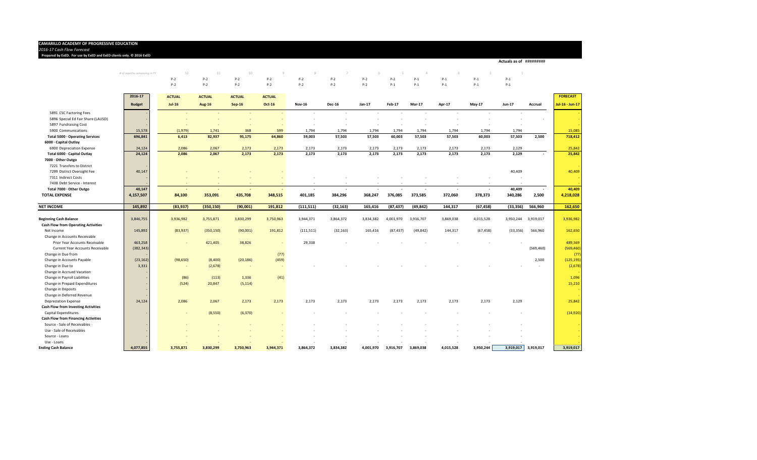#### **CAMARILLO ACADEMY OF PROGRESSIVE EDUCATION** *2016‐17 Cash FlowForecast* 3 4 5 6 7 8 9 10 11 12 13 14

**Prepared by ExED.** For use by ExED and ExED clients only. © 2016 ExED

**Actuals as of** #########

|                                            | 2016-17       | <b>ACTUAL</b>            | <b>ACTUAL</b> | <b>ACTUAL</b> | <b>ACTUAL</b> |                          |               |           |           |           |           |           |                     |                          | <b>FORECAST</b> |
|--------------------------------------------|---------------|--------------------------|---------------|---------------|---------------|--------------------------|---------------|-----------|-----------|-----------|-----------|-----------|---------------------|--------------------------|-----------------|
|                                            |               | $Jul-16$                 |               | $Sep-16$      | <b>Oct-16</b> |                          |               |           | Feb-17    | Mar-17    |           |           | Jun-17              |                          | Jul-16 - Jun-17 |
|                                            | <b>Budget</b> |                          | <b>Aug-16</b> |               |               | <b>Nov-16</b>            | <b>Dec-16</b> | Jan-17    |           |           | Apr-17    | May-17    |                     | Accrual                  |                 |
| 5891 CSC Factoring Fees                    |               | $\sim$                   | $\sim$        | $\sim$        | $\sim$        | $\sim$                   | $\sim$        | $\sim$    |           | $\sim$    | $\sim$    | ÷.        | $\sim$              |                          |                 |
| 5896 Special Ed Fair Share (LAUSD)         |               |                          |               |               |               |                          |               |           |           |           |           |           |                     |                          |                 |
| 5897 Fundraising Cost                      |               |                          |               |               |               | $\overline{\phantom{a}}$ |               |           |           |           |           |           |                     |                          |                 |
| 5900 Communications                        | 15,578        | (1,979)                  | 1,741         | 368           | 599           | 1,794                    | 1,794         | 1,794     | 1,794     | 1,794     | 1,794     | 1,794     | 1,794               |                          | 15,085          |
| Total 5000 · Operating Services            | 696,841       | 6,413                    | 82,937        | 95,175        | 64,860        | 59.003                   | 57,503        | 57,503    | 60,003    | 57,503    | 57,503    | 60,003    | 57,503              | 2,500                    | 718,412         |
| 6000 · Capital Outlay                      |               |                          |               |               |               |                          |               |           |           |           |           |           |                     |                          |                 |
| 6900 Depreciation Expense                  | 24,124        | 2,086                    | 2,067         | 2,173         | 2,173         | 2,173                    | 2,173         | 2,173     | 2,173     | 2,173     | 2,173     | 2,173     | 2,129               |                          | 25,842          |
| Total 6000 · Capital Outlay                | 24,124        | 2.086                    | 2,067         | 2,173         | 2,173         | 2.173                    | 2,173         | 2,173     | 2,173     | 2,173     | 2.173     | 2.173     | 2,129               | $\sim$                   | 25,842          |
| 7000 · Other Outgo                         |               |                          |               |               |               |                          |               |           |           |           |           |           |                     |                          |                 |
| 7221 Transfers to District                 |               |                          |               |               |               |                          |               |           |           |           |           |           |                     |                          |                 |
| 7299 District Oversight Fee                | 40,147        |                          |               |               |               |                          |               |           |           |           |           |           | 40,409              |                          | 40,409          |
| 7311 Indirect Costs                        |               |                          |               |               |               |                          |               |           |           |           |           |           |                     |                          |                 |
| 7438 Debt Service - Interest               |               |                          |               |               |               |                          |               |           |           |           |           |           |                     |                          |                 |
| Total 7000 · Other Outgo                   | 40,147        |                          |               |               |               |                          |               |           |           |           |           | ٠         | 40,409              | $\overline{\phantom{a}}$ | 40,409          |
| <b>TOTAL EXPENSE</b>                       | 4,157,507     | 84,100                   | 353,091       | 435,708       | 348,515       | 401,185                  | 384,296       | 368,247   | 376,085   | 373,585   | 372,060   | 378,373   | 340,286             | 2,500                    | 4,218,028       |
|                                            |               |                          |               |               |               |                          |               |           |           |           |           |           |                     |                          |                 |
| <b>NET INCOME</b>                          | 145,892       | (83,937)                 | (350, 150)    | (90,001)      | 191,812       | (111, 511)               | (32, 163)     | 165,416   | (87, 437) | (49, 842) | 144,317   | (67, 458) | (33, 356)           | 566,960                  | 162,650         |
|                                            |               |                          |               |               |               |                          |               |           |           |           |           |           |                     |                          |                 |
| <b>Beginning Cash Balance</b>              | 3,846,755     | 3,936,982                | 3,755,871     | 3,830,299     | 3,750,963     | 3,944,371                | 3,864,372     | 3,834,382 | 4,001,970 | 3,916,707 | 3,869,038 | 4,015,528 | 3,950,244           | 3,919,017                | 3,936,982       |
| <b>Cash Flow from Operating Activities</b> |               |                          |               |               |               |                          |               |           |           |           |           |           |                     |                          |                 |
| Net Income                                 | 145,892       | (83,937)                 | (350, 150)    | (90,001)      | 191,812       | (111, 511)               | (32, 163)     | 165,416   | (87, 437) | (49, 842) | 144,317   | (67, 458) | (33, 356)           | 566,960                  | 162,650         |
| Change in Accounts Receivable              |               |                          |               |               |               |                          |               |           |           |           |           |           |                     |                          |                 |
| Prior Year Accounts Receivable             | 463,258       |                          | 421,405       | 38,826        |               | 29,338                   |               |           |           |           |           |           |                     |                          | 489,569         |
| <b>Current Year Accounts Receivable</b>    | (382, 343)    |                          |               |               |               |                          |               |           |           |           |           |           |                     | (569, 460)               | (569, 460)      |
| Change in Due from                         |               |                          |               |               | (77)          |                          |               |           |           |           |           |           |                     |                          | (77)            |
| Change in Accounts Payable                 | (23, 162)     | (98, 650)                | (8,400)       | (20, 186)     | (459)         |                          |               |           |           |           |           |           |                     | 2,500                    | (125, 195)      |
| Change in Due to                           | 3,331         | $\overline{\phantom{a}}$ | (2,678)       | $\sim$        | $\sim$        |                          |               |           |           |           |           |           |                     |                          | (2,678)         |
| Change in Accrued Vacation                 |               |                          |               |               |               |                          |               |           |           |           |           |           |                     |                          |                 |
| Change in Payroll Liabilities              |               | (86)                     | (113)         | 1,336         | (41)          |                          |               |           |           |           |           |           |                     |                          | 1,096           |
| Change in Prepaid Expenditures             |               | (524)                    | 20,847        | (5, 114)      |               |                          |               |           |           |           |           |           |                     |                          | 15,210          |
| Change in Deposits                         |               |                          |               |               |               |                          |               |           |           |           |           |           |                     |                          |                 |
| Change in Deferred Revenue                 |               |                          |               |               |               |                          |               |           |           |           |           |           |                     |                          |                 |
| <b>Depreciation Expense</b>                | 24,124        | 2,086                    | 2,067         | 2,173         | 2,173         | 2,173                    | 2,173         | 2,173     | 2,173     | 2,173     | 2,173     | 2,173     | 2,129               |                          | 25,842          |
| <b>Cash Flow from Investing Activities</b> |               |                          |               |               |               |                          |               |           |           |           |           |           |                     |                          |                 |
| Capital Expenditures                       |               |                          | (8,550)       | (6, 370)      |               |                          |               |           |           |           |           |           |                     |                          | (14, 920)       |
| <b>Cash Flow from Financing Activities</b> |               |                          |               |               |               |                          |               |           |           |           |           |           |                     |                          |                 |
| Source - Sale of Receivables               |               |                          |               |               |               |                          |               |           |           |           |           |           |                     |                          |                 |
| Use - Sale of Receivables                  |               |                          |               |               |               |                          |               |           |           |           |           |           |                     |                          |                 |
| Source - Loans                             |               |                          |               |               |               |                          |               |           |           |           |           |           |                     |                          |                 |
| Use - Loans                                |               |                          |               |               |               |                          |               |           |           |           |           |           |                     |                          |                 |
| <b>Ending Cash Balance</b>                 | 4,077,855     | 3.755.871                | 3,830,299     | 3.750.963     | 3.944.371     | 3,864,372                | 3.834.382     | 4.001.970 | 3.916.707 | 3.869.038 | 4.015.528 | 3.950.244 | 3,919,017 3,919,017 |                          | 3.919.017       |

*# of months remaining in FY* 12 11 10 9 8 7 6 5 4 3 2 1 P‐2 P‐2 P‐2 P‐2 P‐2 P‐2 P‐2 P‐2 P‐1 P‐1 P‐1 P‐1 P‐2 P‐2 P‐2 P‐2 P‐2 P‐2 P‐2 P‐1 P‐1 P‐1 P‐1 P‐1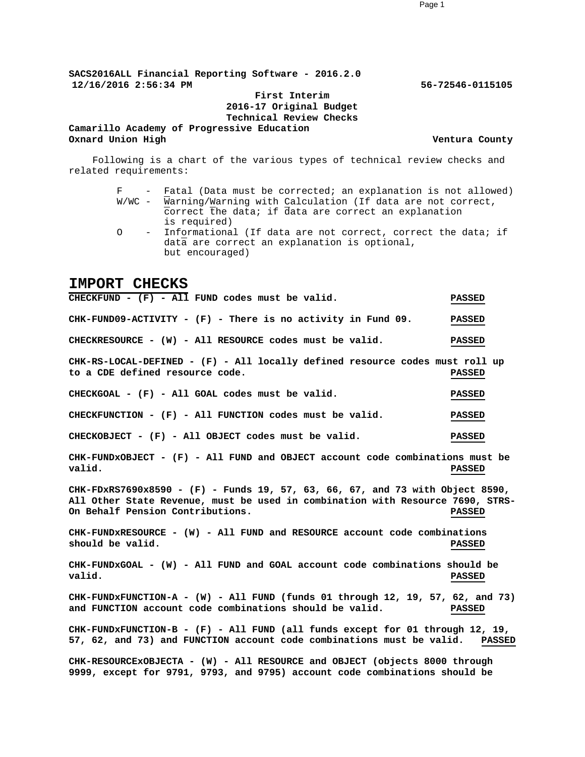**SACS2016ALL Financial Reporting Software - 2016.2.0 12/16/2016 2:56:34 PM 56-72546-0115105**

**First Interim 2016-17 Original Budget Technical Review Checks**

**Camarillo Academy of Progressive Education Oxnard Union High Ventura County**

Following is a chart of the various types of technical review checks and related requirements:

- F Fatal (Data must be corrected; an explanation is not allowed) W/WC - Warning/Warning with Calculation (If data are not correct, correct the data; if data are correct an explanation is required)
- O Informational (If data are not correct, correct the data; if data are correct an explanation is optional, but encouraged)

#### **IMPORT CHECKS**

**CHECKFUND - (F) - All FUND codes must be valid. PASSED CHK-FUND09-ACTIVITY - (F) - There is no activity in Fund 09. PASSED CHECKRESOURCE - (W) - All RESOURCE codes must be valid. PASSED CHK-RS-LOCAL-DEFINED - (F) - All locally defined resource codes must roll up to a CDE defined resource code. PASSED CHECKGOAL - (F) - All GOAL codes must be valid. PASSED CHECKFUNCTION - (F) - All FUNCTION codes must be valid. PASSED CHECKOBJECT - (F) - All OBJECT codes must be valid. PASSED CHK-FUNDxOBJECT - (F) - All FUND and OBJECT account code combinations must be valid. PASSED CHK-FDxRS7690x8590 - (F) - Funds 19, 57, 63, 66, 67, and 73 with Object 8590, All Other State Revenue, must be used in combination with Resource 7690, STRS-On Behalf Pension Contributions. PASSED CHK-FUNDxRESOURCE - (W) - All FUND and RESOURCE account code combinations should be valid. PASSED CHK-FUNDxGOAL - (W) - All FUND and GOAL account code combinations should be valid. PASSED CHK-FUNDxFUNCTION-A - (W) - All FUND (funds 01 through 12, 19, 57, 62, and 73) and FUNCTION account code combinations should be valid. PASSED CHK-FUNDxFUNCTION-B - (F) - All FUND (all funds except for 01 through 12, 19, 57, 62, and 73) and FUNCTION account code combinations must be valid. PASSED CHK-RESOURCExOBJECTA - (W) - All RESOURCE and OBJECT (objects 8000 through 9999, except for 9791, 9793, and 9795) account code combinations should be**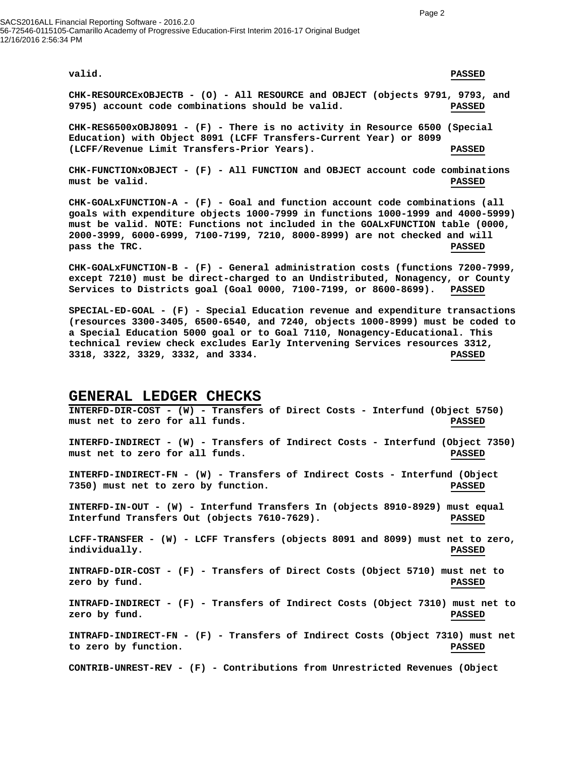SACS2016ALL Financial Reporting Software - 2016.2.0 56-72546-0115105-Camarillo Academy of Progressive Education-First Interim 2016-17 Original Budget 12/16/2016 2:56:34 PM

#### **valid. PASSED**

**CHK-RESOURCExOBJECTB - (O) - All RESOURCE and OBJECT (objects 9791, 9793, and 9795) account code combinations should be valid. PASSED**

**CHK-RES6500xOBJ8091 - (F) - There is no activity in Resource 6500 (Special Education) with Object 8091 (LCFF Transfers-Current Year) or 8099 (LCFF/Revenue Limit Transfers-Prior Years). PASSED**

**CHK-FUNCTIONxOBJECT - (F) - All FUNCTION and OBJECT account code combinations must be valid. PASSED**

**CHK-GOALxFUNCTION-A - (F) - Goal and function account code combinations (all goals with expenditure objects 1000-7999 in functions 1000-1999 and 4000-5999) must be valid. NOTE: Functions not included in the GOALxFUNCTION table (0000, 2000-3999, 6000-6999, 7100-7199, 7210, 8000-8999) are not checked and will pass the TRC. PASSED**

**CHK-GOALxFUNCTION-B - (F) - General administration costs (functions 7200-7999, except 7210) must be direct-charged to an Undistributed, Nonagency, or County Services to Districts goal (Goal 0000, 7100-7199, or 8600-8699). PASSED**

**SPECIAL-ED-GOAL - (F) - Special Education revenue and expenditure transactions (resources 3300-3405, 6500-6540, and 7240, objects 1000-8999) must be coded to a Special Education 5000 goal or to Goal 7110, Nonagency-Educational. This technical review check excludes Early Intervening Services resources 3312, 3318, 3322, 3329, 3332, and 3334. PASSED**

#### **GENERAL LEDGER CHECKS**

**INTERFD-DIR-COST - (W) - Transfers of Direct Costs - Interfund (Object 5750) must net to zero for all funds. PASSED INTERFD-INDIRECT - (W) - Transfers of Indirect Costs - Interfund (Object 7350) must net to zero for all funds. PASSED INTERFD-INDIRECT-FN - (W) - Transfers of Indirect Costs - Interfund (Object 7350) must net to zero by function. PASSED INTERFD-IN-OUT - (W) - Interfund Transfers In (objects 8910-8929) must equal Interfund Transfers Out (objects 7610-7629). PASSED LCFF-TRANSFER - (W) - LCFF Transfers (objects 8091 and 8099) must net to zero, individually. PASSED INTRAFD-DIR-COST - (F) - Transfers of Direct Costs (Object 5710) must net to zero by fund. PASSED INTRAFD-INDIRECT - (F) - Transfers of Indirect Costs (Object 7310) must net to zero by fund. PASSED INTRAFD-INDIRECT-FN - (F) - Transfers of Indirect Costs (Object 7310) must net to zero by function. PASSED CONTRIB-UNREST-REV - (F) - Contributions from Unrestricted Revenues (Object**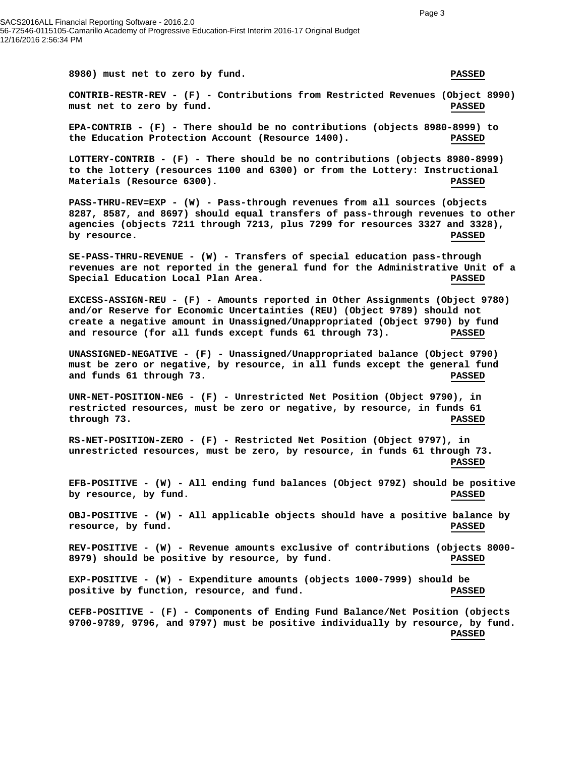**8980) must net to zero by fund. PASSED CONTRIB-RESTR-REV - (F) - Contributions from Restricted Revenues (Object 8990) must net to zero by fund. PASSED EPA-CONTRIB - (F) - There should be no contributions (objects 8980-8999) to the Education Protection Account (Resource 1400). PASSED LOTTERY-CONTRIB - (F) - There should be no contributions (objects 8980-8999) to the lottery (resources 1100 and 6300) or from the Lottery: Instructional Materials (Resource 6300). PASSED PASS-THRU-REV=EXP - (W) - Pass-through revenues from all sources (objects 8287, 8587, and 8697) should equal transfers of pass-through revenues to other agencies (objects 7211 through 7213, plus 7299 for resources 3327 and 3328), by resource.** PASSED **SE-PASS-THRU-REVENUE - (W) - Transfers of special education pass-through revenues are not reported in the general fund for the Administrative Unit of a Special Education Local Plan Area. PASSED EXCESS-ASSIGN-REU - (F) - Amounts reported in Other Assignments (Object 9780) and/or Reserve for Economic Uncertainties (REU) (Object 9789) should not create a negative amount in Unassigned/Unappropriated (Object 9790) by fund and resource (for all funds except funds 61 through 73). PASSED UNASSIGNED-NEGATIVE - (F) - Unassigned/Unappropriated balance (Object 9790) must be zero or negative, by resource, in all funds except the general fund and funds 61 through 73. PASSED UNR-NET-POSITION-NEG - (F) - Unrestricted Net Position (Object 9790), in restricted resources, must be zero or negative, by resource, in funds 61 through 73. PASSED RS-NET-POSITION-ZERO - (F) - Restricted Net Position (Object 9797), in unrestricted resources, must be zero, by resource, in funds 61 through 73. PASSED EFB-POSITIVE - (W) - All ending fund balances (Object 979Z) should be positive by resource, by fund. PASSED OBJ-POSITIVE - (W) - All applicable objects should have a positive balance by resource, by fund. PASSED REV-POSITIVE - (W) - Revenue amounts exclusive of contributions (objects 8000- 8979) should be positive by resource, by fund. PASSED EXP-POSITIVE - (W) - Expenditure amounts (objects 1000-7999) should be positive by function, resource, and fund. PASSED CEFB-POSITIVE - (F) - Components of Ending Fund Balance/Net Position (objects 9700-9789, 9796, and 9797) must be positive individually by resource, by fund. PASSED**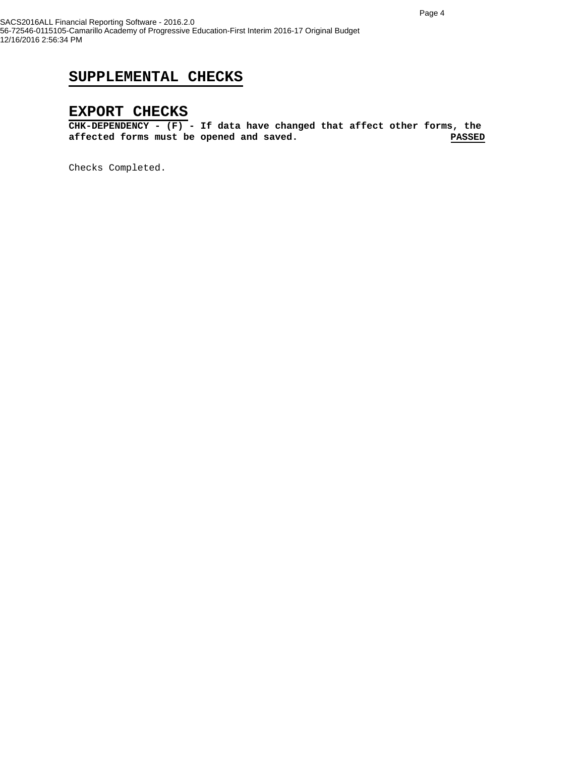### **SUPPLEMENTAL CHECKS**

#### **EXPORT CHECKS**

**CHK-DEPENDENCY - (F) - If data have changed that affect other forms, the**  affected forms must be opened and saved.

Checks Completed.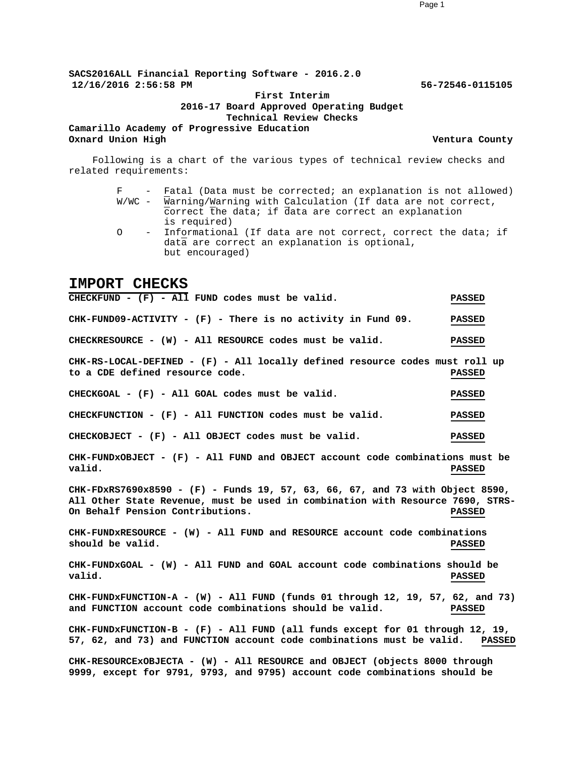**SACS2016ALL Financial Reporting Software - 2016.2.0 12/16/2016 2:56:58 PM 56-72546-0115105**

#### **First Interim 2016-17 Board Approved Operating Budget Technical Review Checks**

**Camarillo Academy of Progressive Education Oxnard Union High Ventura County**

Following is a chart of the various types of technical review checks and related requirements:

- F Fatal (Data must be corrected; an explanation is not allowed) W/WC - Warning/Warning with Calculation (If data are not correct, correct the data; if data are correct an explanation is required)
- O Informational (If data are not correct, correct the data; if data are correct an explanation is optional, but encouraged)

#### **IMPORT CHECKS**

**CHECKFUND - (F) - All FUND codes must be valid. PASSED CHK-FUND09-ACTIVITY - (F) - There is no activity in Fund 09. PASSED CHECKRESOURCE - (W) - All RESOURCE codes must be valid. PASSED CHK-RS-LOCAL-DEFINED - (F) - All locally defined resource codes must roll up to a CDE defined resource code. PASSED CHECKGOAL - (F) - All GOAL codes must be valid. PASSED CHECKFUNCTION - (F) - All FUNCTION codes must be valid. PASSED CHECKOBJECT - (F) - All OBJECT codes must be valid. PASSED CHK-FUNDxOBJECT - (F) - All FUND and OBJECT account code combinations must be valid. PASSED CHK-FDxRS7690x8590 - (F) - Funds 19, 57, 63, 66, 67, and 73 with Object 8590, All Other State Revenue, must be used in combination with Resource 7690, STRS-On Behalf Pension Contributions. PASSED CHK-FUNDxRESOURCE - (W) - All FUND and RESOURCE account code combinations should be valid. PASSED CHK-FUNDxGOAL - (W) - All FUND and GOAL account code combinations should be valid. PASSED CHK-FUNDxFUNCTION-A - (W) - All FUND (funds 01 through 12, 19, 57, 62, and 73) and FUNCTION account code combinations should be valid. PASSED CHK-FUNDxFUNCTION-B - (F) - All FUND (all funds except for 01 through 12, 19, 57, 62, and 73) and FUNCTION account code combinations must be valid. PASSED CHK-RESOURCExOBJECTA - (W) - All RESOURCE and OBJECT (objects 8000 through 9999, except for 9791, 9793, and 9795) account code combinations should be**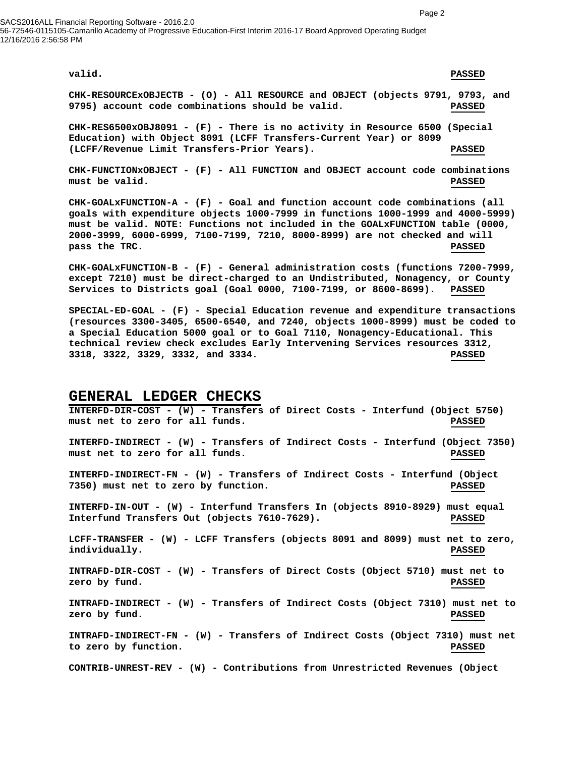SACS2016ALL Financial Reporting Software - 2016.2.0 56-72546-0115105-Camarillo Academy of Progressive Education-First Interim 2016-17 Board Approved Operating Budget 12/16/2016 2:56:58 PM

**valid. PASSED**

**CHK-RESOURCExOBJECTB - (O) - All RESOURCE and OBJECT (objects 9791, 9793, and 9795) account code combinations should be valid. PASSED**

**CHK-RES6500xOBJ8091 - (F) - There is no activity in Resource 6500 (Special Education) with Object 8091 (LCFF Transfers-Current Year) or 8099 (LCFF/Revenue Limit Transfers-Prior Years). PASSED**

**CHK-FUNCTIONxOBJECT - (F) - All FUNCTION and OBJECT account code combinations must be valid. PASSED**

**CHK-GOALxFUNCTION-A - (F) - Goal and function account code combinations (all goals with expenditure objects 1000-7999 in functions 1000-1999 and 4000-5999) must be valid. NOTE: Functions not included in the GOALxFUNCTION table (0000, 2000-3999, 6000-6999, 7100-7199, 7210, 8000-8999) are not checked and will pass the TRC. PASSED**

**CHK-GOALxFUNCTION-B - (F) - General administration costs (functions 7200-7999, except 7210) must be direct-charged to an Undistributed, Nonagency, or County Services to Districts goal (Goal 0000, 7100-7199, or 8600-8699). PASSED**

**SPECIAL-ED-GOAL - (F) - Special Education revenue and expenditure transactions (resources 3300-3405, 6500-6540, and 7240, objects 1000-8999) must be coded to a Special Education 5000 goal or to Goal 7110, Nonagency-Educational. This technical review check excludes Early Intervening Services resources 3312, 3318, 3322, 3329, 3332, and 3334. PASSED**

#### **GENERAL LEDGER CHECKS**

**INTERFD-DIR-COST - (W) - Transfers of Direct Costs - Interfund (Object 5750) must net to zero for all funds. PASSED INTERFD-INDIRECT - (W) - Transfers of Indirect Costs - Interfund (Object 7350) must net to zero for all funds. PASSED INTERFD-INDIRECT-FN - (W) - Transfers of Indirect Costs - Interfund (Object 7350) must net to zero by function. PASSED INTERFD-IN-OUT - (W) - Interfund Transfers In (objects 8910-8929) must equal Interfund Transfers Out (objects 7610-7629). PASSED LCFF-TRANSFER - (W) - LCFF Transfers (objects 8091 and 8099) must net to zero, individually. PASSED INTRAFD-DIR-COST - (W) - Transfers of Direct Costs (Object 5710) must net to zero by fund. PASSED INTRAFD-INDIRECT - (W) - Transfers of Indirect Costs (Object 7310) must net to zero by fund. PASSED INTRAFD-INDIRECT-FN - (W) - Transfers of Indirect Costs (Object 7310) must net to zero by function. PASSED CONTRIB-UNREST-REV - (W) - Contributions from Unrestricted Revenues (Object**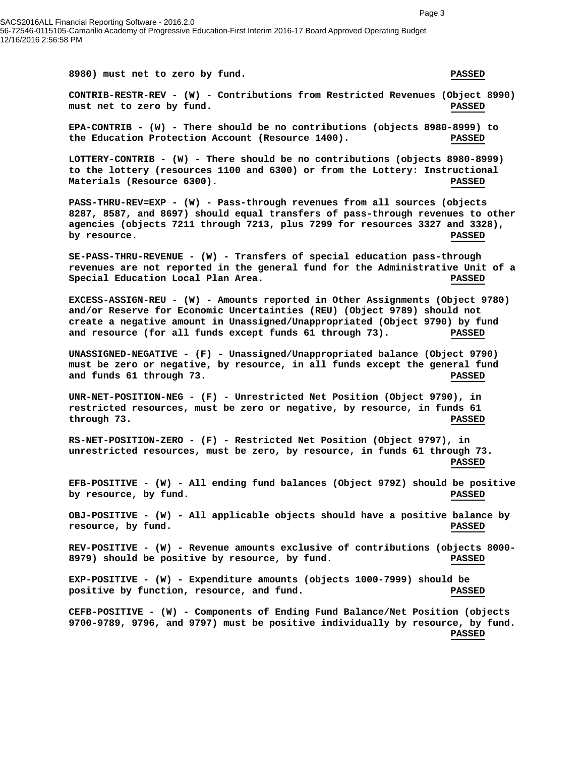SACS2016ALL Financial Reporting Software - 2016.2.0 56-72546-0115105-Camarillo Academy of Progressive Education-First Interim 2016-17 Board Approved Operating Budget 12/16/2016 2:56:58 PM

**8980) must net to zero by fund. PASSED**

**CONTRIB-RESTR-REV - (W) - Contributions from Restricted Revenues (Object 8990) must net to zero by fund. PASSED**

**EPA-CONTRIB - (W) - There should be no contributions (objects 8980-8999) to the Education Protection Account (Resource 1400). PASSED**

**LOTTERY-CONTRIB - (W) - There should be no contributions (objects 8980-8999) to the lottery (resources 1100 and 6300) or from the Lottery: Instructional Materials (Resource 6300). PASSED**

**PASS-THRU-REV=EXP - (W) - Pass-through revenues from all sources (objects 8287, 8587, and 8697) should equal transfers of pass-through revenues to other agencies (objects 7211 through 7213, plus 7299 for resources 3327 and 3328), by resource. PASSED**

**SE-PASS-THRU-REVENUE - (W) - Transfers of special education pass-through revenues are not reported in the general fund for the Administrative Unit of a Special Education Local Plan Area. PASSED**

**EXCESS-ASSIGN-REU - (W) - Amounts reported in Other Assignments (Object 9780) and/or Reserve for Economic Uncertainties (REU) (Object 9789) should not create a negative amount in Unassigned/Unappropriated (Object 9790) by fund and resource (for all funds except funds 61 through 73). PASSED**

**UNASSIGNED-NEGATIVE - (F) - Unassigned/Unappropriated balance (Object 9790) must be zero or negative, by resource, in all funds except the general fund and funds 61 through 73. PASSED**

**UNR-NET-POSITION-NEG - (F) - Unrestricted Net Position (Object 9790), in restricted resources, must be zero or negative, by resource, in funds 61 through 73. PASSED**

**RS-NET-POSITION-ZERO - (F) - Restricted Net Position (Object 9797), in unrestricted resources, must be zero, by resource, in funds 61 through 73. PASSED**

**EFB-POSITIVE - (W) - All ending fund balances (Object 979Z) should be positive by resource, by fund. PASSED**

**OBJ-POSITIVE - (W) - All applicable objects should have a positive balance by resource, by fund. PASSED**

**REV-POSITIVE - (W) - Revenue amounts exclusive of contributions (objects 8000- 8979) should be positive by resource, by fund. PASSED**

**EXP-POSITIVE - (W) - Expenditure amounts (objects 1000-7999) should be positive by function, resource, and fund. PASSED**

**CEFB-POSITIVE - (W) - Components of Ending Fund Balance/Net Position (objects 9700-9789, 9796, and 9797) must be positive individually by resource, by fund. PASSED**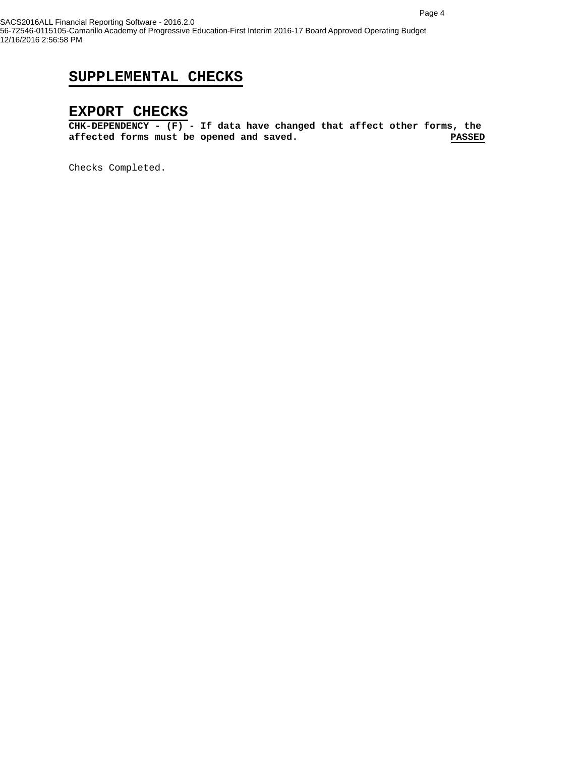#### **EXPORT CHECKS**

**CHK-DEPENDENCY - (F) - If data have changed that affect other forms, the**  affected forms must be opened and saved.

Checks Completed.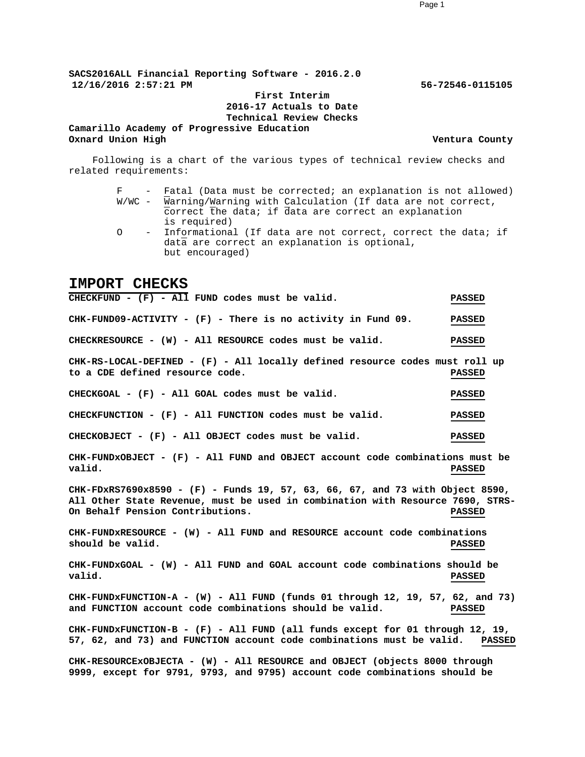**SACS2016ALL Financial Reporting Software - 2016.2.0 12/16/2016 2:57:21 PM 56-72546-0115105**

**First Interim 2016-17 Actuals to Date Technical Review Checks**

**Camarillo Academy of Progressive Education Oxnard Union High Ventura County**

Following is a chart of the various types of technical review checks and related requirements:

- F Fatal (Data must be corrected; an explanation is not allowed) W/WC - Warning/Warning with Calculation (If data are not correct, correct the data; if data are correct an explanation is required)
- O Informational (If data are not correct, correct the data; if data are correct an explanation is optional, but encouraged)

#### **IMPORT CHECKS**

**CHECKFUND - (F) - All FUND codes must be valid. PASSED CHK-FUND09-ACTIVITY - (F) - There is no activity in Fund 09. PASSED CHECKRESOURCE - (W) - All RESOURCE codes must be valid. PASSED CHK-RS-LOCAL-DEFINED - (F) - All locally defined resource codes must roll up to a CDE defined resource code. PASSED CHECKGOAL - (F) - All GOAL codes must be valid. PASSED CHECKFUNCTION - (F) - All FUNCTION codes must be valid. PASSED CHECKOBJECT - (F) - All OBJECT codes must be valid. PASSED CHK-FUNDxOBJECT - (F) - All FUND and OBJECT account code combinations must be valid. PASSED CHK-FDxRS7690x8590 - (F) - Funds 19, 57, 63, 66, 67, and 73 with Object 8590, All Other State Revenue, must be used in combination with Resource 7690, STRS-On Behalf Pension Contributions. PASSED CHK-FUNDxRESOURCE - (W) - All FUND and RESOURCE account code combinations should be valid. PASSED CHK-FUNDxGOAL - (W) - All FUND and GOAL account code combinations should be valid. PASSED CHK-FUNDxFUNCTION-A - (W) - All FUND (funds 01 through 12, 19, 57, 62, and 73) and FUNCTION account code combinations should be valid. PASSED CHK-FUNDxFUNCTION-B - (F) - All FUND (all funds except for 01 through 12, 19, 57, 62, and 73) and FUNCTION account code combinations must be valid. PASSED CHK-RESOURCExOBJECTA - (W) - All RESOURCE and OBJECT (objects 8000 through 9999, except for 9791, 9793, and 9795) account code combinations should be**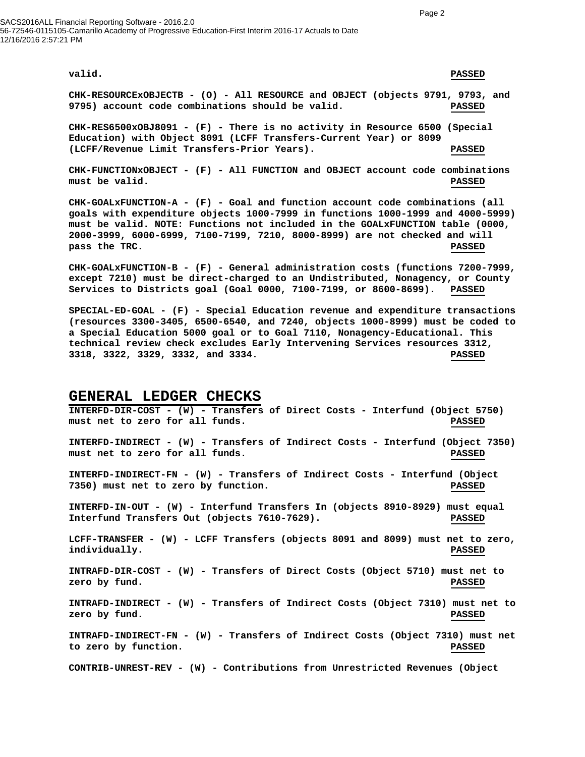SACS2016ALL Financial Reporting Software - 2016.2.0 56-72546-0115105-Camarillo Academy of Progressive Education-First Interim 2016-17 Actuals to Date 12/16/2016 2:57:21 PM

#### **valid. PASSED**

**CHK-RESOURCExOBJECTB - (O) - All RESOURCE and OBJECT (objects 9791, 9793, and 9795) account code combinations should be valid. PASSED**

**CHK-RES6500xOBJ8091 - (F) - There is no activity in Resource 6500 (Special Education) with Object 8091 (LCFF Transfers-Current Year) or 8099 (LCFF/Revenue Limit Transfers-Prior Years). PASSED**

**CHK-FUNCTIONxOBJECT - (F) - All FUNCTION and OBJECT account code combinations must be valid. PASSED**

**CHK-GOALxFUNCTION-A - (F) - Goal and function account code combinations (all goals with expenditure objects 1000-7999 in functions 1000-1999 and 4000-5999) must be valid. NOTE: Functions not included in the GOALxFUNCTION table (0000, 2000-3999, 6000-6999, 7100-7199, 7210, 8000-8999) are not checked and will pass the TRC. PASSED**

**CHK-GOALxFUNCTION-B - (F) - General administration costs (functions 7200-7999, except 7210) must be direct-charged to an Undistributed, Nonagency, or County Services to Districts goal (Goal 0000, 7100-7199, or 8600-8699). PASSED**

**SPECIAL-ED-GOAL - (F) - Special Education revenue and expenditure transactions (resources 3300-3405, 6500-6540, and 7240, objects 1000-8999) must be coded to a Special Education 5000 goal or to Goal 7110, Nonagency-Educational. This technical review check excludes Early Intervening Services resources 3312, 3318, 3322, 3329, 3332, and 3334. PASSED**

#### **GENERAL LEDGER CHECKS**

**INTERFD-DIR-COST - (W) - Transfers of Direct Costs - Interfund (Object 5750) must net to zero for all funds. PASSED INTERFD-INDIRECT - (W) - Transfers of Indirect Costs - Interfund (Object 7350) must net to zero for all funds. PASSED INTERFD-INDIRECT-FN - (W) - Transfers of Indirect Costs - Interfund (Object 7350) must net to zero by function. PASSED INTERFD-IN-OUT - (W) - Interfund Transfers In (objects 8910-8929) must equal Interfund Transfers Out (objects 7610-7629). PASSED LCFF-TRANSFER - (W) - LCFF Transfers (objects 8091 and 8099) must net to zero, individually. PASSED INTRAFD-DIR-COST - (W) - Transfers of Direct Costs (Object 5710) must net to zero by fund. PASSED INTRAFD-INDIRECT - (W) - Transfers of Indirect Costs (Object 7310) must net to zero by fund. PASSED INTRAFD-INDIRECT-FN - (W) - Transfers of Indirect Costs (Object 7310) must net to zero by function. PASSED CONTRIB-UNREST-REV - (W) - Contributions from Unrestricted Revenues (Object**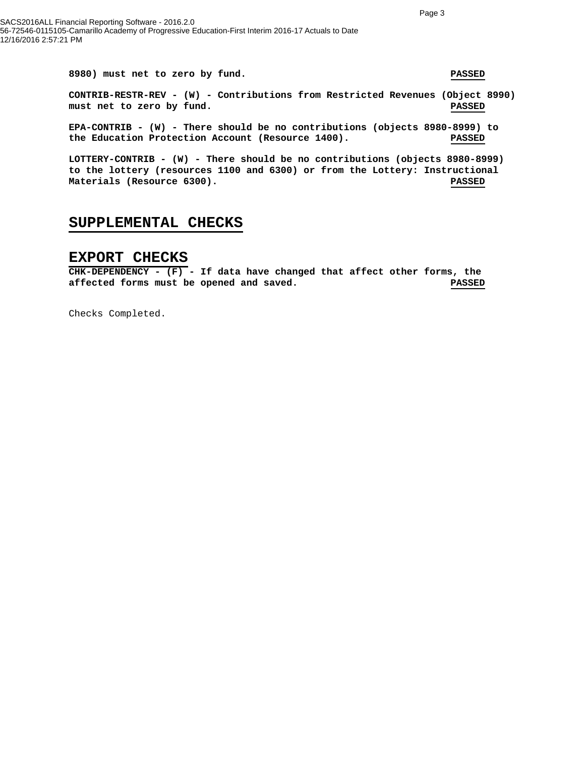**8980) must net to zero by fund. PASSED CONTRIB-RESTR-REV - (W) - Contributions from Restricted Revenues (Object 8990) must net to zero by fund. PASSED EPA-CONTRIB - (W) - There should be no contributions (objects 8980-8999) to** 

**the Education Protection Account (Resource 1400). PASSED**

**LOTTERY-CONTRIB - (W) - There should be no contributions (objects 8980-8999) to the lottery (resources 1100 and 6300) or from the Lottery: Instructional Materials (Resource 6300). PASSED**

### **SUPPLEMENTAL CHECKS**

#### **EXPORT CHECKS**

**CHK-DEPENDENCY - (F) - If data have changed that affect other forms, the affected forms must be opened and saved. PASSED**

Checks Completed.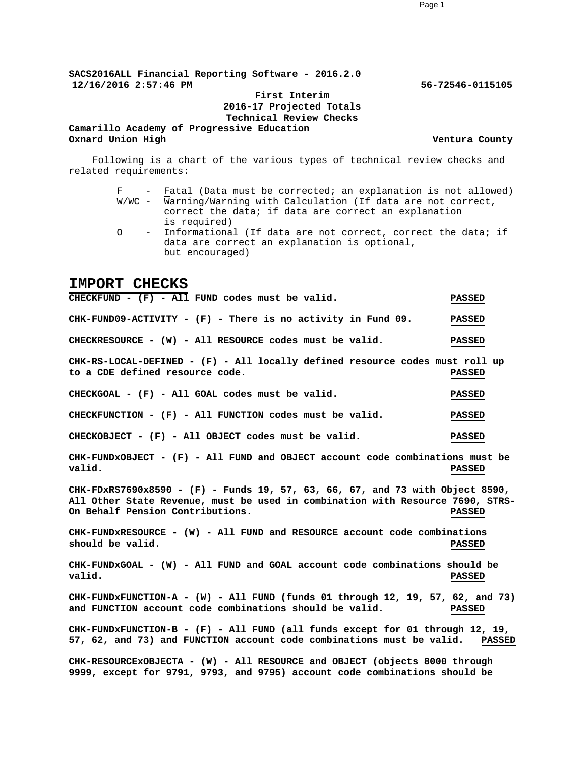**SACS2016ALL Financial Reporting Software - 2016.2.0 12/16/2016 2:57:46 PM 56-72546-0115105**

#### **First Interim 2016-17 Projected Totals Technical Review Checks**

**Camarillo Academy of Progressive Education Oxnard Union High Ventura County**

Following is a chart of the various types of technical review checks and related requirements:

- F Fatal (Data must be corrected; an explanation is not allowed) W/WC - Warning/Warning with Calculation (If data are not correct, correct the data; if data are correct an explanation is required)
- O Informational (If data are not correct, correct the data; if data are correct an explanation is optional, but encouraged)

#### **IMPORT CHECKS**

**CHECKFUND - (F) - All FUND codes must be valid. PASSED CHK-FUND09-ACTIVITY - (F) - There is no activity in Fund 09. PASSED CHECKRESOURCE - (W) - All RESOURCE codes must be valid. PASSED CHK-RS-LOCAL-DEFINED - (F) - All locally defined resource codes must roll up to a CDE defined resource code. PASSED CHECKGOAL - (F) - All GOAL codes must be valid. PASSED CHECKFUNCTION - (F) - All FUNCTION codes must be valid. PASSED CHECKOBJECT - (F) - All OBJECT codes must be valid. PASSED CHK-FUNDxOBJECT - (F) - All FUND and OBJECT account code combinations must be valid. PASSED CHK-FDxRS7690x8590 - (F) - Funds 19, 57, 63, 66, 67, and 73 with Object 8590, All Other State Revenue, must be used in combination with Resource 7690, STRS-On Behalf Pension Contributions. PASSED CHK-FUNDxRESOURCE - (W) - All FUND and RESOURCE account code combinations should be valid. PASSED CHK-FUNDxGOAL - (W) - All FUND and GOAL account code combinations should be valid. PASSED CHK-FUNDxFUNCTION-A - (W) - All FUND (funds 01 through 12, 19, 57, 62, and 73) and FUNCTION account code combinations should be valid. PASSED CHK-FUNDxFUNCTION-B - (F) - All FUND (all funds except for 01 through 12, 19, 57, 62, and 73) and FUNCTION account code combinations must be valid. PASSED CHK-RESOURCExOBJECTA - (W) - All RESOURCE and OBJECT (objects 8000 through 9999, except for 9791, 9793, and 9795) account code combinations should be**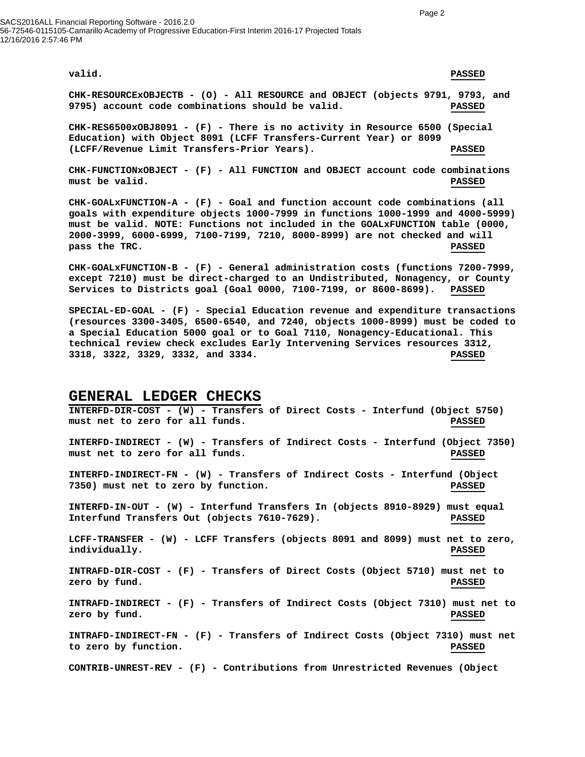SACS2016ALL Financial Reporting Software - 2016.2.0 56-72546-0115105-Camarillo Academy of Progressive Education-First Interim 2016-17 Projected Totals 12/16/2016 2:57:46 PM

#### **valid. PASSED**

**CHK-RESOURCExOBJECTB - (O) - All RESOURCE and OBJECT (objects 9791, 9793, and 9795) account code combinations should be valid. PASSED**

**CHK-RES6500xOBJ8091 - (F) - There is no activity in Resource 6500 (Special Education) with Object 8091 (LCFF Transfers-Current Year) or 8099 (LCFF/Revenue Limit Transfers-Prior Years). PASSED**

**CHK-FUNCTIONxOBJECT - (F) - All FUNCTION and OBJECT account code combinations must be valid. PASSED**

**CHK-GOALxFUNCTION-A - (F) - Goal and function account code combinations (all goals with expenditure objects 1000-7999 in functions 1000-1999 and 4000-5999) must be valid. NOTE: Functions not included in the GOALxFUNCTION table (0000, 2000-3999, 6000-6999, 7100-7199, 7210, 8000-8999) are not checked and will pass the TRC. PASSED**

**CHK-GOALxFUNCTION-B - (F) - General administration costs (functions 7200-7999, except 7210) must be direct-charged to an Undistributed, Nonagency, or County Services to Districts goal (Goal 0000, 7100-7199, or 8600-8699). PASSED**

**SPECIAL-ED-GOAL - (F) - Special Education revenue and expenditure transactions (resources 3300-3405, 6500-6540, and 7240, objects 1000-8999) must be coded to a Special Education 5000 goal or to Goal 7110, Nonagency-Educational. This technical review check excludes Early Intervening Services resources 3312, 3318, 3322, 3329, 3332, and 3334. PASSED**

#### **GENERAL LEDGER CHECKS**

**INTERFD-DIR-COST - (W) - Transfers of Direct Costs - Interfund (Object 5750) must net to zero for all funds. PASSED INTERFD-INDIRECT - (W) - Transfers of Indirect Costs - Interfund (Object 7350) must net to zero for all funds. PASSED INTERFD-INDIRECT-FN - (W) - Transfers of Indirect Costs - Interfund (Object 7350) must net to zero by function. PASSED INTERFD-IN-OUT - (W) - Interfund Transfers In (objects 8910-8929) must equal Interfund Transfers Out (objects 7610-7629). PASSED LCFF-TRANSFER - (W) - LCFF Transfers (objects 8091 and 8099) must net to zero, individually. PASSED INTRAFD-DIR-COST - (F) - Transfers of Direct Costs (Object 5710) must net to zero by fund. PASSED INTRAFD-INDIRECT - (F) - Transfers of Indirect Costs (Object 7310) must net to zero by fund. PASSED INTRAFD-INDIRECT-FN - (F) - Transfers of Indirect Costs (Object 7310) must net to zero by function. PASSED CONTRIB-UNREST-REV - (F) - Contributions from Unrestricted Revenues (Object**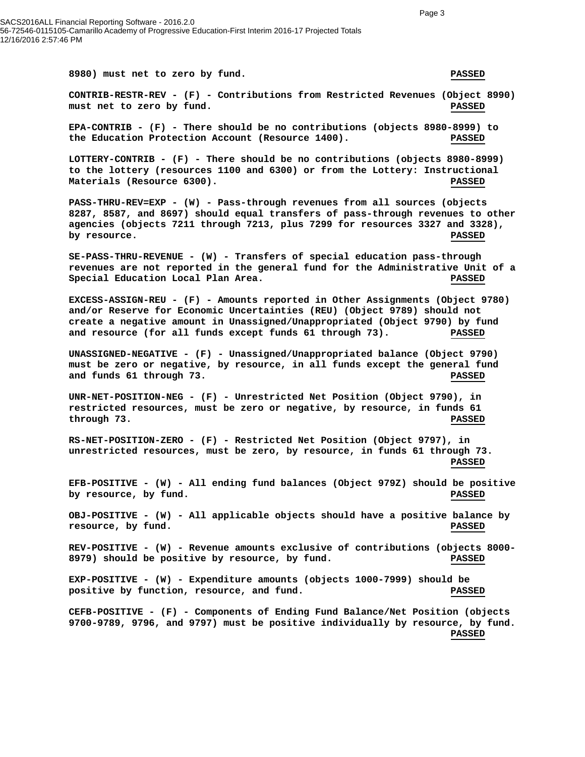**8980) must net to zero by fund. PASSED CONTRIB-RESTR-REV - (F) - Contributions from Restricted Revenues (Object 8990) must net to zero by fund. PASSED EPA-CONTRIB - (F) - There should be no contributions (objects 8980-8999) to the Education Protection Account (Resource 1400). PASSED LOTTERY-CONTRIB - (F) - There should be no contributions (objects 8980-8999) to the lottery (resources 1100 and 6300) or from the Lottery: Instructional Materials (Resource 6300). PASSED PASS-THRU-REV=EXP - (W) - Pass-through revenues from all sources (objects 8287, 8587, and 8697) should equal transfers of pass-through revenues to other agencies (objects 7211 through 7213, plus 7299 for resources 3327 and 3328), by resource.** PASSED **SE-PASS-THRU-REVENUE - (W) - Transfers of special education pass-through revenues are not reported in the general fund for the Administrative Unit of a Special Education Local Plan Area. PASSED EXCESS-ASSIGN-REU - (F) - Amounts reported in Other Assignments (Object 9780) and/or Reserve for Economic Uncertainties (REU) (Object 9789) should not create a negative amount in Unassigned/Unappropriated (Object 9790) by fund and resource (for all funds except funds 61 through 73). PASSED UNASSIGNED-NEGATIVE - (F) - Unassigned/Unappropriated balance (Object 9790) must be zero or negative, by resource, in all funds except the general fund and funds 61 through 73. PASSED UNR-NET-POSITION-NEG - (F) - Unrestricted Net Position (Object 9790), in restricted resources, must be zero or negative, by resource, in funds 61 through 73. PASSED RS-NET-POSITION-ZERO - (F) - Restricted Net Position (Object 9797), in unrestricted resources, must be zero, by resource, in funds 61 through 73. PASSED EFB-POSITIVE - (W) - All ending fund balances (Object 979Z) should be positive by resource, by fund. PASSED OBJ-POSITIVE - (W) - All applicable objects should have a positive balance by resource, by fund. PASSED REV-POSITIVE - (W) - Revenue amounts exclusive of contributions (objects 8000- 8979) should be positive by resource, by fund. PASSED EXP-POSITIVE - (W) - Expenditure amounts (objects 1000-7999) should be positive by function, resource, and fund. PASSED CEFB-POSITIVE - (F) - Components of Ending Fund Balance/Net Position (objects 9700-9789, 9796, and 9797) must be positive individually by resource, by fund. PASSED**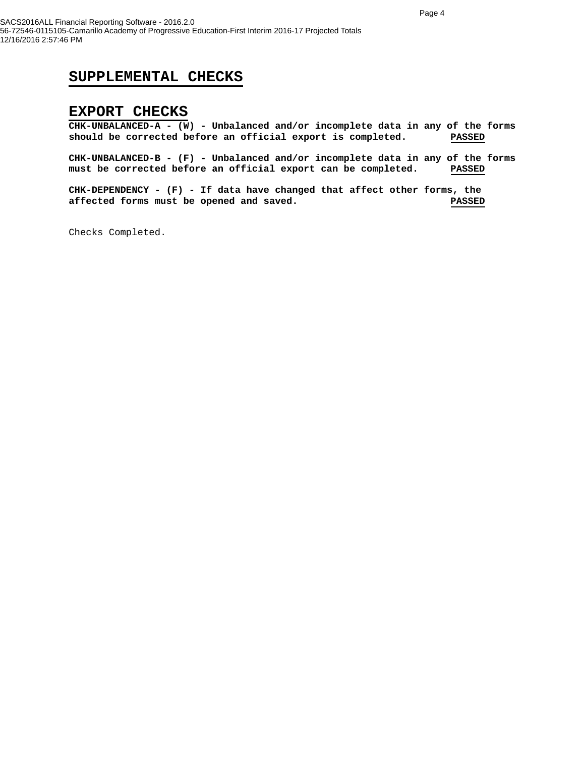### **SUPPLEMENTAL CHECKS**

#### **EXPORT CHECKS**

**CHK-UNBALANCED-A - (W) - Unbalanced and/or incomplete data in any of the forms should be corrected before an official export is completed. PASSED**

**CHK-UNBALANCED-B - (F) - Unbalanced and/or incomplete data in any of the forms must be corrected before an official export can be completed. PASSED**

**CHK-DEPENDENCY - (F) - If data have changed that affect other forms, the affected forms must be opened and saved. PASSED**

Checks Completed.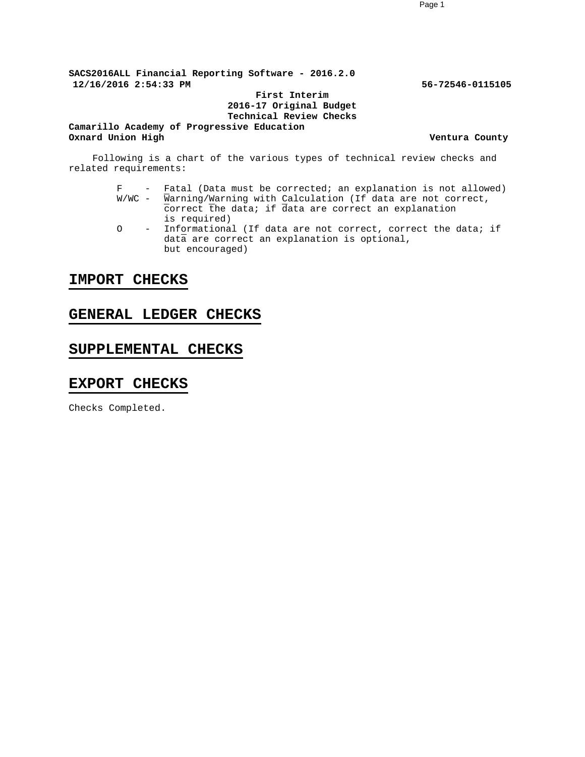**SACS2016ALL Financial Reporting Software - 2016.2.0 12/16/2016 2:54:33 PM 56-72546-0115105 First Interim 2016-17 Original Budget Technical Review Checks**

**Camarillo Academy of Progressive Education Oxnard Union High Ventura County** 

Following is a chart of the various types of technical review checks and related requirements:

- $F$  Fatal (Data must be corrected; an explanation is not allowed)<br>W/WC Warning/Warning with Calculation (If data are not correct,  $\overline{W}$ arning/Warning with Calculation (If data are not correct, correct the data; if data are correct an explanation is required)
- O Informational (If data are not correct, correct the data; if data are correct an explanation is optional, but encouraged)

### **IMPORT CHECKS**

### **GENERAL LEDGER CHECKS**

### **SUPPLEMENTAL CHECKS**

#### **EXPORT CHECKS**

Checks Completed.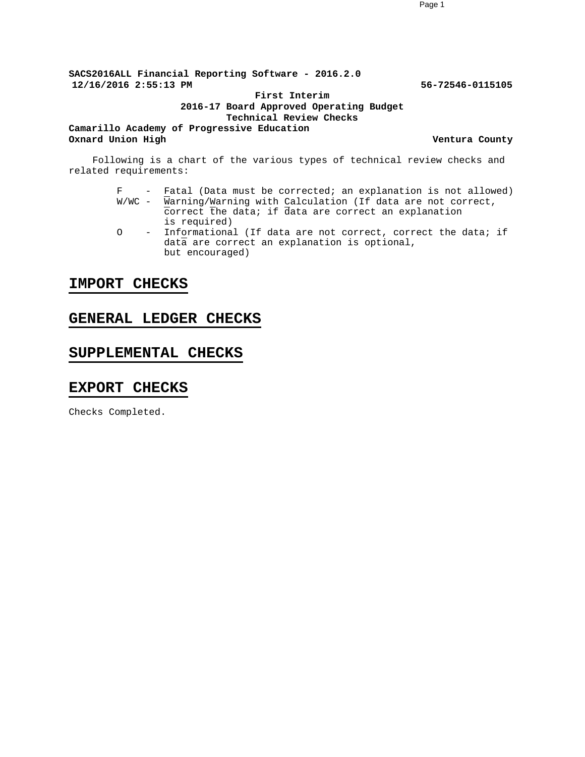**SACS2016ALL Financial Reporting Software - 2016.2.0 12/16/2016 2:55:13 PM 56-72546-0115105**

#### **First Interim 2016-17 Board Approved Operating Budget Technical Review Checks**

**Camarillo Academy of Progressive Education Oxnard Union High Ventura County Ventura County** 

Following is a chart of the various types of technical review checks and related requirements:

- F Fatal (Data must be corrected; an explanation is not allowed)  $W/WC$  - Warning/Warning with Calculation (If data are not correct, correct the data; if data are correct an explanation is required)
- O Informational (If data are not correct, correct the data; if data are correct an explanation is optional, but encouraged)

#### **IMPORT CHECKS**

### **GENERAL LEDGER CHECKS**

### **SUPPLEMENTAL CHECKS**

#### **EXPORT CHECKS**

Checks Completed.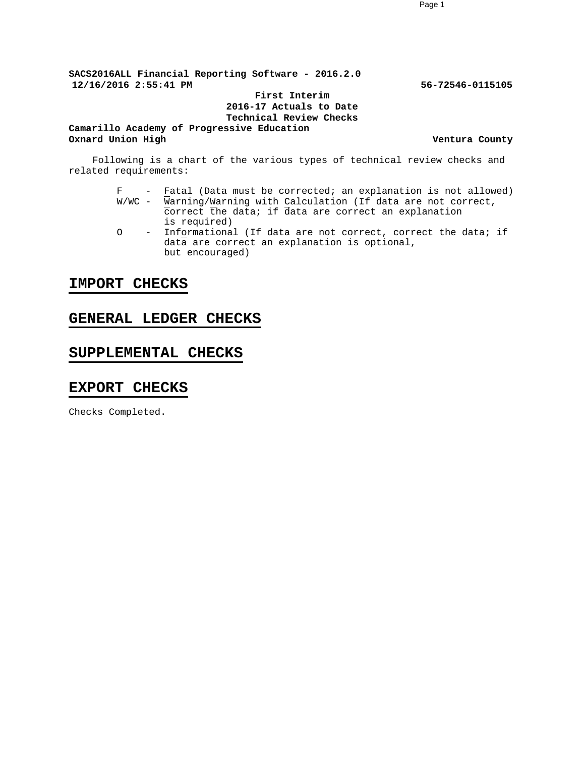**SACS2016ALL Financial Reporting Software - 2016.2.0 12/16/2016 2:55:41 PM 56-72546-0115105 First Interim 2016-17 Actuals to Date Technical Review Checks Camarillo Academy of Progressive Education Oxnard Union High Ventura County Ventura County** 

Following is a chart of the various types of technical review checks and related requirements:

- F Fatal (Data must be corrected; an explanation is not allowed)  $W/WC$  - Warning/Warning with Calculation (If data are not correct, correct the data; if data are correct an explanation is required)
- O Informational (If data are not correct, correct the data; if data are correct an explanation is optional, but encouraged)

#### **IMPORT CHECKS**

#### **GENERAL LEDGER CHECKS**

#### **SUPPLEMENTAL CHECKS**

#### **EXPORT CHECKS**

Checks Completed.